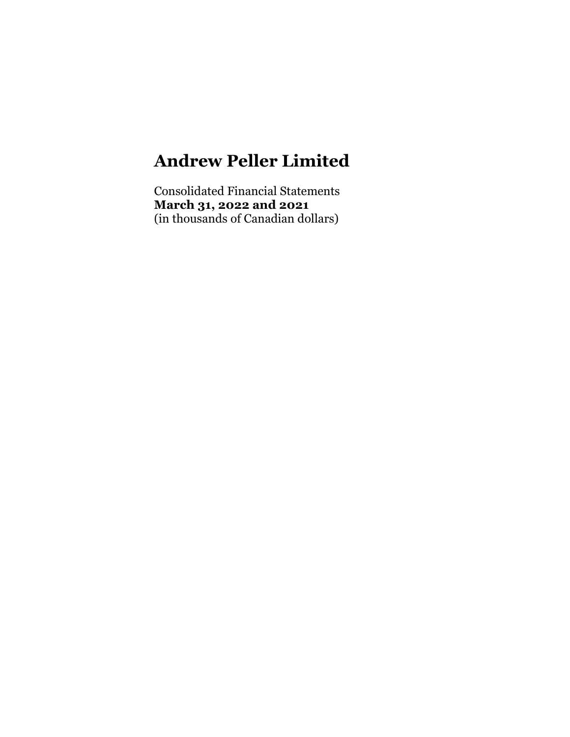Consolidated Financial Statements **March 31, 2022 and 2021**  (in thousands of Canadian dollars)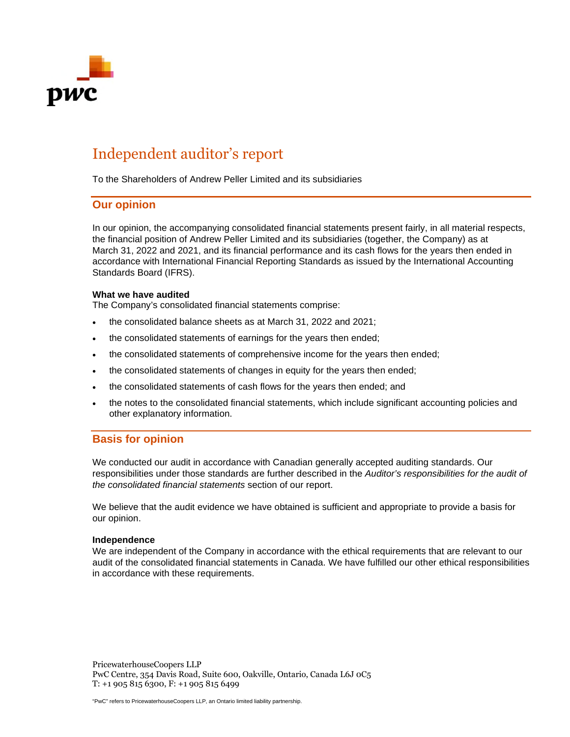

## Independent auditor's report

To the Shareholders of Andrew Peller Limited and its subsidiaries

### **Our opinion**

In our opinion, the accompanying consolidated financial statements present fairly, in all material respects, the financial position of Andrew Peller Limited and its subsidiaries (together, the Company) as at March 31, 2022 and 2021, and its financial performance and its cash flows for the years then ended in accordance with International Financial Reporting Standards as issued by the International Accounting Standards Board (IFRS).

#### **What we have audited**

The Company's consolidated financial statements comprise:

- the consolidated balance sheets as at March 31, 2022 and 2021;
- the consolidated statements of earnings for the years then ended;
- the consolidated statements of comprehensive income for the years then ended;
- the consolidated statements of changes in equity for the years then ended;
- the consolidated statements of cash flows for the years then ended; and
- the notes to the consolidated financial statements, which include significant accounting policies and other explanatory information.

### **Basis for opinion**

We conducted our audit in accordance with Canadian generally accepted auditing standards. Our responsibilities under those standards are further described in the *Auditor's responsibilities for the audit of the consolidated financial statements* section of our report.

We believe that the audit evidence we have obtained is sufficient and appropriate to provide a basis for our opinion.

#### **Independence**

We are independent of the Company in accordance with the ethical requirements that are relevant to our audit of the consolidated financial statements in Canada. We have fulfilled our other ethical responsibilities in accordance with these requirements.

PricewaterhouseCoopers LLP PwC Centre, 354 Davis Road, Suite 600, Oakville, Ontario, Canada L6J 0C5 T: +1 905 815 6300, F: +1 905 815 6499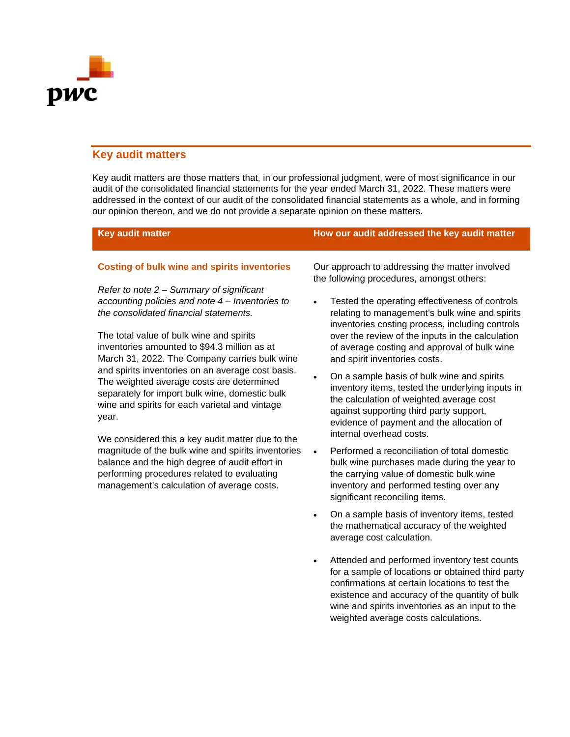

### **Key audit matters**

Key audit matters are those matters that, in our professional judgment, were of most significance in our audit of the consolidated financial statements for the year ended March 31, 2022. These matters were addressed in the context of our audit of the consolidated financial statements as a whole, and in forming our opinion thereon, and we do not provide a separate opinion on these matters.

#### **Key audit matter How our audit addressed the key audit matter**

#### **Costing of bulk wine and spirits inventories**

*Refer to note 2 – Summary of significant accounting policies and note 4 – Inventories to the consolidated financial statements.* 

The total value of bulk wine and spirits inventories amounted to \$94.3 million as at March 31, 2022. The Company carries bulk wine and spirits inventories on an average cost basis. The weighted average costs are determined separately for import bulk wine, domestic bulk wine and spirits for each varietal and vintage year.

We considered this a key audit matter due to the magnitude of the bulk wine and spirits inventories balance and the high degree of audit effort in performing procedures related to evaluating management's calculation of average costs.

Our approach to addressing the matter involved the following procedures, amongst others:

- Tested the operating effectiveness of controls relating to management's bulk wine and spirits inventories costing process, including controls over the review of the inputs in the calculation of average costing and approval of bulk wine and spirit inventories costs.
- On a sample basis of bulk wine and spirits inventory items, tested the underlying inputs in the calculation of weighted average cost against supporting third party support, evidence of payment and the allocation of internal overhead costs.
- Performed a reconciliation of total domestic bulk wine purchases made during the year to the carrying value of domestic bulk wine inventory and performed testing over any significant reconciling items.
- On a sample basis of inventory items, tested the mathematical accuracy of the weighted average cost calculation.
- Attended and performed inventory test counts for a sample of locations or obtained third party confirmations at certain locations to test the existence and accuracy of the quantity of bulk wine and spirits inventories as an input to the weighted average costs calculations.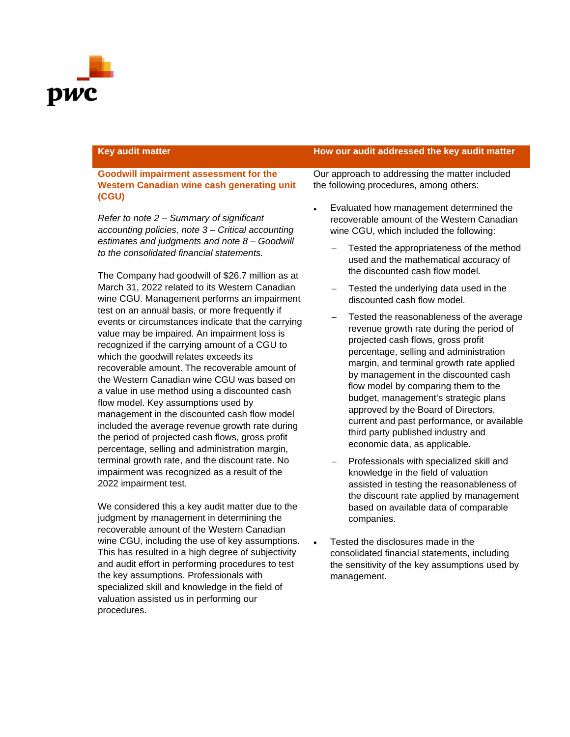

| <b>Key audit matter</b>                                                                              | How our audit addressed the key audit matter                                              |
|------------------------------------------------------------------------------------------------------|-------------------------------------------------------------------------------------------|
| <b>Goodwill impairment assessment for the</b><br>Western Canadian wine cash generating unit<br>(CGU) | Our approach to addressing the matter included<br>the following procedures, among others: |

*Refer to note 2 – Summary of significant accounting policies, note 3 – Critical accounting estimates and judgments and note 8 – Goodwill to the consolidated financial statements.* 

The Company had goodwill of \$26.7 million as at March 31, 2022 related to its Western Canadian wine CGU. Management performs an impairment test on an annual basis, or more frequently if events or circumstances indicate that the carrying value may be impaired. An impairment loss is recognized if the carrying amount of a CGU to which the goodwill relates exceeds its recoverable amount. The recoverable amount of the Western Canadian wine CGU was based on a value in use method using a discounted cash flow model. Key assumptions used by management in the discounted cash flow model included the average revenue growth rate during the period of projected cash flows, gross profit percentage, selling and administration margin, terminal growth rate, and the discount rate. No impairment was recognized as a result of the 2022 impairment test.

We considered this a key audit matter due to the judgment by management in determining the recoverable amount of the Western Canadian wine CGU, including the use of key assumptions. This has resulted in a high degree of subjectivity and audit effort in performing procedures to test the key assumptions. Professionals with specialized skill and knowledge in the field of valuation assisted us in performing our procedures.

#### Evaluated how management determined the recoverable amount of the Western Canadian wine CGU, which included the following:

- Tested the appropriateness of the method used and the mathematical accuracy of the discounted cash flow model.
- Tested the underlying data used in the discounted cash flow model.
- Tested the reasonableness of the average revenue growth rate during the period of projected cash flows, gross profit percentage, selling and administration margin, and terminal growth rate applied by management in the discounted cash flow model by comparing them to the budget, management's strategic plans approved by the Board of Directors, current and past performance, or available third party published industry and economic data, as applicable.
- Professionals with specialized skill and knowledge in the field of valuation assisted in testing the reasonableness of the discount rate applied by management based on available data of comparable companies.
- Tested the disclosures made in the consolidated financial statements, including the sensitivity of the key assumptions used by management.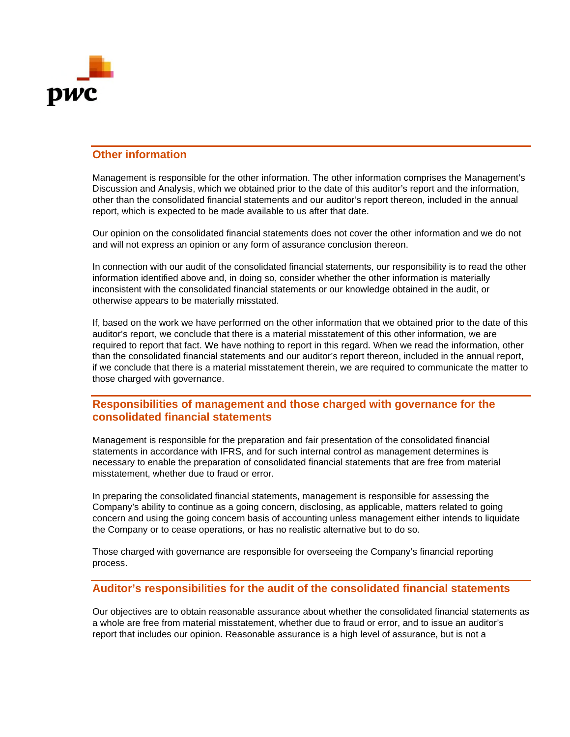

### **Other information**

Management is responsible for the other information. The other information comprises the Management's Discussion and Analysis, which we obtained prior to the date of this auditor's report and the information, other than the consolidated financial statements and our auditor's report thereon, included in the annual report, which is expected to be made available to us after that date.

Our opinion on the consolidated financial statements does not cover the other information and we do not and will not express an opinion or any form of assurance conclusion thereon.

In connection with our audit of the consolidated financial statements, our responsibility is to read the other information identified above and, in doing so, consider whether the other information is materially inconsistent with the consolidated financial statements or our knowledge obtained in the audit, or otherwise appears to be materially misstated.

If, based on the work we have performed on the other information that we obtained prior to the date of this auditor's report, we conclude that there is a material misstatement of this other information, we are required to report that fact. We have nothing to report in this regard. When we read the information, other than the consolidated financial statements and our auditor's report thereon, included in the annual report, if we conclude that there is a material misstatement therein, we are required to communicate the matter to those charged with governance.

### **Responsibilities of management and those charged with governance for the consolidated financial statements**

Management is responsible for the preparation and fair presentation of the consolidated financial statements in accordance with IFRS, and for such internal control as management determines is necessary to enable the preparation of consolidated financial statements that are free from material misstatement, whether due to fraud or error.

In preparing the consolidated financial statements, management is responsible for assessing the Company's ability to continue as a going concern, disclosing, as applicable, matters related to going concern and using the going concern basis of accounting unless management either intends to liquidate the Company or to cease operations, or has no realistic alternative but to do so.

Those charged with governance are responsible for overseeing the Company's financial reporting process.

### **Auditor's responsibilities for the audit of the consolidated financial statements**

Our objectives are to obtain reasonable assurance about whether the consolidated financial statements as a whole are free from material misstatement, whether due to fraud or error, and to issue an auditor's report that includes our opinion. Reasonable assurance is a high level of assurance, but is not a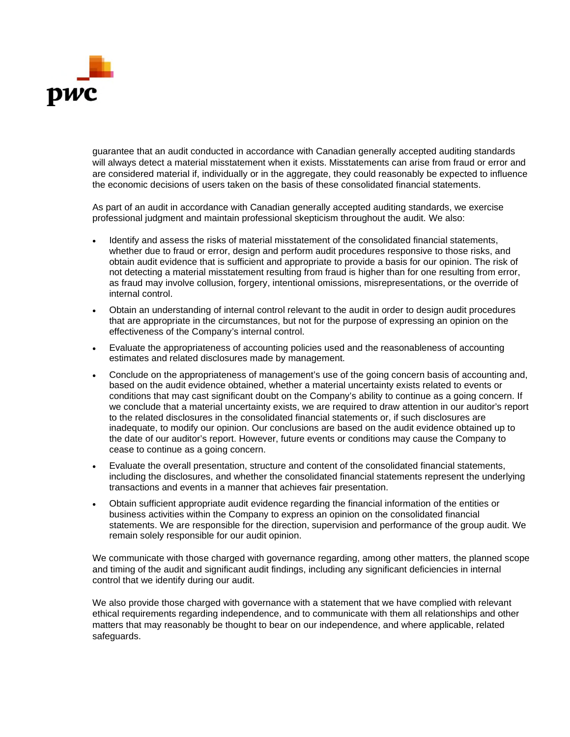

guarantee that an audit conducted in accordance with Canadian generally accepted auditing standards will always detect a material misstatement when it exists. Misstatements can arise from fraud or error and are considered material if, individually or in the aggregate, they could reasonably be expected to influence the economic decisions of users taken on the basis of these consolidated financial statements.

As part of an audit in accordance with Canadian generally accepted auditing standards, we exercise professional judgment and maintain professional skepticism throughout the audit. We also:

- Identify and assess the risks of material misstatement of the consolidated financial statements, whether due to fraud or error, design and perform audit procedures responsive to those risks, and obtain audit evidence that is sufficient and appropriate to provide a basis for our opinion. The risk of not detecting a material misstatement resulting from fraud is higher than for one resulting from error, as fraud may involve collusion, forgery, intentional omissions, misrepresentations, or the override of internal control.
- Obtain an understanding of internal control relevant to the audit in order to design audit procedures that are appropriate in the circumstances, but not for the purpose of expressing an opinion on the effectiveness of the Company's internal control.
- Evaluate the appropriateness of accounting policies used and the reasonableness of accounting estimates and related disclosures made by management.
- Conclude on the appropriateness of management's use of the going concern basis of accounting and, based on the audit evidence obtained, whether a material uncertainty exists related to events or conditions that may cast significant doubt on the Company's ability to continue as a going concern. If we conclude that a material uncertainty exists, we are required to draw attention in our auditor's report to the related disclosures in the consolidated financial statements or, if such disclosures are inadequate, to modify our opinion. Our conclusions are based on the audit evidence obtained up to the date of our auditor's report. However, future events or conditions may cause the Company to cease to continue as a going concern.
- Evaluate the overall presentation, structure and content of the consolidated financial statements, including the disclosures, and whether the consolidated financial statements represent the underlying transactions and events in a manner that achieves fair presentation.
- Obtain sufficient appropriate audit evidence regarding the financial information of the entities or business activities within the Company to express an opinion on the consolidated financial statements. We are responsible for the direction, supervision and performance of the group audit. We remain solely responsible for our audit opinion.

We communicate with those charged with governance regarding, among other matters, the planned scope and timing of the audit and significant audit findings, including any significant deficiencies in internal control that we identify during our audit.

We also provide those charged with governance with a statement that we have complied with relevant ethical requirements regarding independence, and to communicate with them all relationships and other matters that may reasonably be thought to bear on our independence, and where applicable, related safeguards.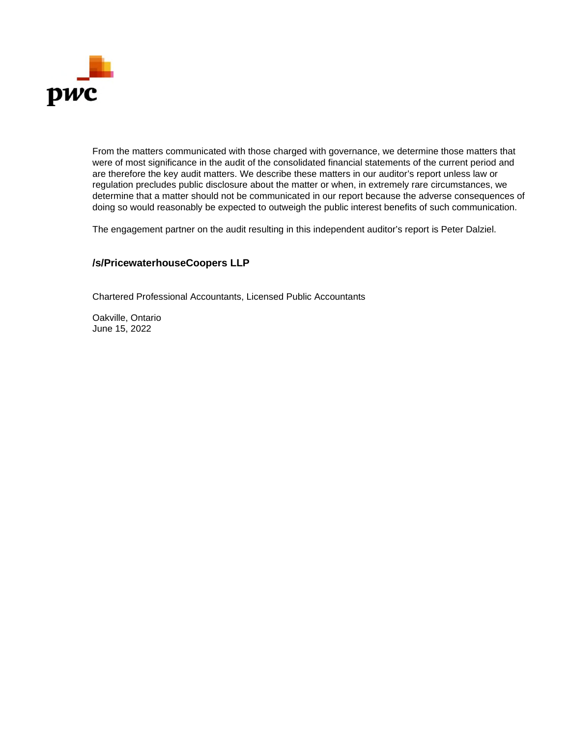

From the matters communicated with those charged with governance, we determine those matters that were of most significance in the audit of the consolidated financial statements of the current period and are therefore the key audit matters. We describe these matters in our auditor's report unless law or regulation precludes public disclosure about the matter or when, in extremely rare circumstances, we determine that a matter should not be communicated in our report because the adverse consequences of doing so would reasonably be expected to outweigh the public interest benefits of such communication.

The engagement partner on the audit resulting in this independent auditor's report is Peter Dalziel.

### **/s/PricewaterhouseCoopers LLP**

Chartered Professional Accountants, Licensed Public Accountants

Oakville, Ontario June 15, 2022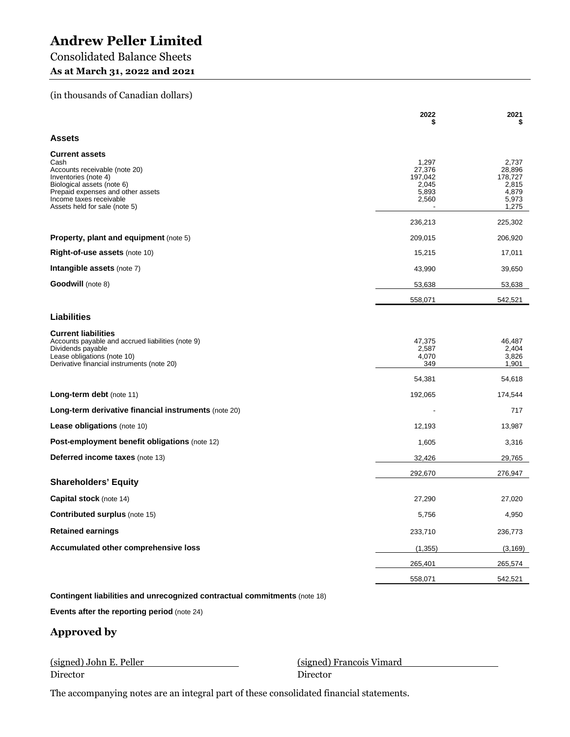## Consolidated Balance Sheets

### **As at March 31, 2022 and 2021**

### (in thousands of Canadian dollars)

|                                                                                                                                                                                                                       | 2022                                                  | 2021<br>S                                                      |
|-----------------------------------------------------------------------------------------------------------------------------------------------------------------------------------------------------------------------|-------------------------------------------------------|----------------------------------------------------------------|
| <b>Assets</b>                                                                                                                                                                                                         |                                                       |                                                                |
| <b>Current assets</b><br>Cash<br>Accounts receivable (note 20)<br>Inventories (note 4)<br>Biological assets (note 6)<br>Prepaid expenses and other assets<br>Income taxes receivable<br>Assets held for sale (note 5) | 1,297<br>27,376<br>197,042<br>2,045<br>5,893<br>2,560 | 2,737<br>28,896<br>178,727<br>2,815<br>4,879<br>5,973<br>1,275 |
|                                                                                                                                                                                                                       | 236,213                                               | 225,302                                                        |
| <b>Property, plant and equipment (note 5)</b>                                                                                                                                                                         | 209,015                                               | 206,920                                                        |
| <b>Right-of-use assets (note 10)</b>                                                                                                                                                                                  | 15,215                                                | 17,011                                                         |
| <b>Intangible assets (note 7)</b>                                                                                                                                                                                     | 43,990                                                | 39,650                                                         |
| <b>Goodwill</b> (note 8)                                                                                                                                                                                              | 53,638                                                | 53,638                                                         |
|                                                                                                                                                                                                                       | 558,071                                               | 542,521                                                        |
| <b>Liabilities</b>                                                                                                                                                                                                    |                                                       |                                                                |
| <b>Current liabilities</b><br>Accounts payable and accrued liabilities (note 9)<br>Dividends payable<br>Lease obligations (note 10)<br>Derivative financial instruments (note 20)                                     | 47,375<br>2,587<br>4,070<br>349                       | 46,487<br>2,404<br>3,826<br>1,901                              |
|                                                                                                                                                                                                                       | 54,381                                                | 54,618                                                         |
| <b>Long-term debt</b> (note 11)                                                                                                                                                                                       | 192,065                                               | 174,544                                                        |
| Long-term derivative financial instruments (note 20)                                                                                                                                                                  |                                                       | 717                                                            |
| <b>Lease obligations</b> (note 10)                                                                                                                                                                                    | 12,193                                                | 13,987                                                         |
| Post-employment benefit obligations (note 12)                                                                                                                                                                         | 1,605                                                 | 3,316                                                          |
| Deferred income taxes (note 13)                                                                                                                                                                                       | 32,426                                                | 29,765                                                         |
| <b>Shareholders' Equity</b>                                                                                                                                                                                           | 292,670                                               | 276,947                                                        |
| <b>Capital stock</b> (note 14)                                                                                                                                                                                        | 27,290                                                | 27,020                                                         |
| <b>Contributed surplus (note 15)</b>                                                                                                                                                                                  | 5,756                                                 | 4,950                                                          |
| <b>Retained earnings</b>                                                                                                                                                                                              | 233,710                                               | 236,773                                                        |
| <b>Accumulated other comprehensive loss</b>                                                                                                                                                                           | (1, 355)                                              | (3, 169)                                                       |
|                                                                                                                                                                                                                       | 265,401                                               | 265,574                                                        |
|                                                                                                                                                                                                                       | 558,071                                               | 542,521                                                        |

**Contingent liabilities and unrecognized contractual commitments** (note 18)

**Events after the reporting period** (note 24)

### **Approved by**

(signed) John E. Peller (signed) Francois Vimard

Director Director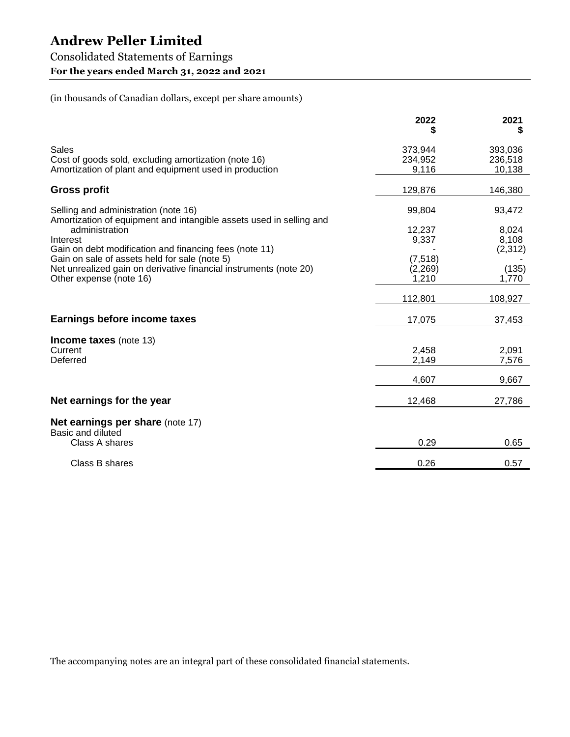### Consolidated Statements of Earnings

### **For the years ended March 31, 2022 and 2021**

(in thousands of Canadian dollars, except per share amounts)

|                                                                                                                                       | 2022                        | 2021<br>S                    |
|---------------------------------------------------------------------------------------------------------------------------------------|-----------------------------|------------------------------|
| Sales<br>Cost of goods sold, excluding amortization (note 16)<br>Amortization of plant and equipment used in production               | 373,944<br>234,952<br>9,116 | 393,036<br>236,518<br>10,138 |
| <b>Gross profit</b>                                                                                                                   | 129,876                     | 146,380                      |
| Selling and administration (note 16)<br>Amortization of equipment and intangible assets used in selling and                           | 99,804                      | 93,472                       |
| administration<br>Interest<br>Gain on debt modification and financing fees (note 11)<br>Gain on sale of assets held for sale (note 5) | 12,237<br>9,337<br>(7, 518) | 8,024<br>8,108<br>(2,312)    |
| Net unrealized gain on derivative financial instruments (note 20)<br>Other expense (note 16)                                          | (2,269)<br>1,210            | (135)<br>1,770               |
|                                                                                                                                       | 112,801                     | 108,927                      |
| Earnings before income taxes                                                                                                          | 17,075                      | 37,453                       |
| <b>Income taxes</b> (note 13)<br>Current<br>Deferred                                                                                  | 2,458<br>2,149              | 2,091<br>7,576               |
|                                                                                                                                       | 4,607                       | 9,667                        |
| Net earnings for the year                                                                                                             | 12,468                      | 27,786                       |
| <b>Net earnings per share (note 17)</b><br>Basic and diluted                                                                          |                             |                              |
| Class A shares                                                                                                                        | 0.29                        | 0.65                         |
| Class B shares                                                                                                                        | 0.26                        | 0.57                         |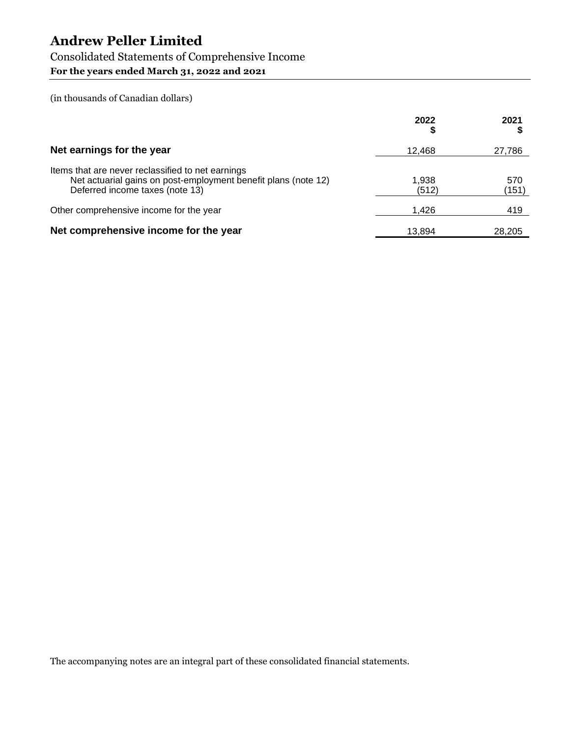## Consolidated Statements of Comprehensive Income

### **For the years ended March 31, 2022 and 2021**

(in thousands of Canadian dollars)

|                                                                                                                                                        | 2022           | 2021         |
|--------------------------------------------------------------------------------------------------------------------------------------------------------|----------------|--------------|
| Net earnings for the year                                                                                                                              | 12,468         | 27,786       |
| Items that are never reclassified to net earnings<br>Net actuarial gains on post-employment benefit plans (note 12)<br>Deferred income taxes (note 13) | 1.938<br>(512) | 570<br>(151) |
| Other comprehensive income for the year                                                                                                                | 1,426          | 419          |
| Net comprehensive income for the year                                                                                                                  | 13.894         | 28.205       |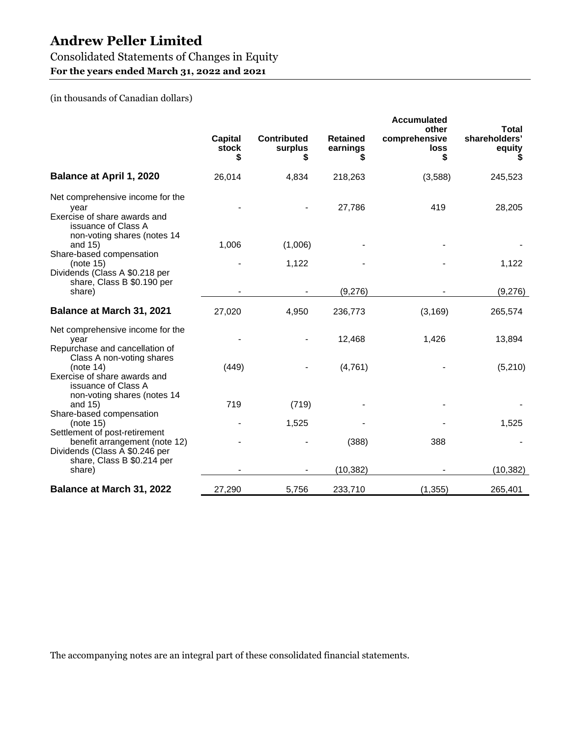### Consolidated Statements of Changes in Equity

**For the years ended March 31, 2022 and 2021** 

### (in thousands of Canadian dollars)

|                                                                                                                                |                              |                                    |                             | <b>Accumulated</b>                  |                                         |
|--------------------------------------------------------------------------------------------------------------------------------|------------------------------|------------------------------------|-----------------------------|-------------------------------------|-----------------------------------------|
|                                                                                                                                | <b>Capital</b><br>stock<br>S | <b>Contributed</b><br>surplus<br>S | <b>Retained</b><br>earnings | other<br>comprehensive<br>loss<br>S | <b>Total</b><br>shareholders'<br>equity |
| <b>Balance at April 1, 2020</b>                                                                                                | 26,014                       | 4,834                              | 218,263                     | (3,588)                             | 245,523                                 |
| Net comprehensive income for the<br>year<br>Exercise of share awards and<br>issuance of Class A                                |                              |                                    | 27,786                      | 419                                 | 28,205                                  |
| non-voting shares (notes 14<br>and $15$ )                                                                                      | 1,006                        | (1,006)                            |                             |                                     |                                         |
| Share-based compensation<br>(note 15)<br>Dividends (Class A \$0.218 per<br>share, Class B \$0.190 per                          |                              | 1,122                              |                             |                                     | 1,122                                   |
| share)                                                                                                                         |                              |                                    | (9,276)                     |                                     | (9,276)                                 |
| <b>Balance at March 31, 2021</b>                                                                                               | 27,020                       | 4,950                              | 236,773                     | (3, 169)                            | 265,574                                 |
| Net comprehensive income for the<br>year<br>Repurchase and cancellation of                                                     |                              |                                    | 12,468                      | 1,426                               | 13,894                                  |
| Class A non-voting shares<br>(note 14)<br>Exercise of share awards and                                                         | (449)                        |                                    | (4,761)                     |                                     | (5,210)                                 |
| issuance of Class A<br>non-voting shares (notes 14<br>and 15)                                                                  | 719                          | (719)                              |                             |                                     |                                         |
| Share-based compensation<br>(note 15)                                                                                          |                              | 1,525                              |                             |                                     | 1,525                                   |
| Settlement of post-retirement<br>benefit arrangement (note 12)<br>Dividends (Class A \$0.246 per<br>share, Class B \$0.214 per |                              |                                    | (388)                       | 388                                 |                                         |
| share)                                                                                                                         |                              |                                    | (10, 382)                   |                                     | (10, 382)                               |
| <b>Balance at March 31, 2022</b>                                                                                               | 27,290                       | 5,756                              | 233,710                     | (1, 355)                            | 265,401                                 |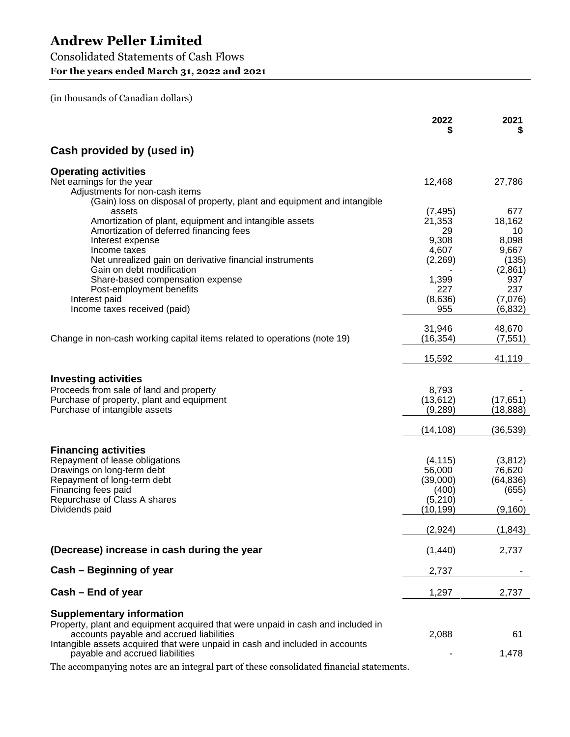Consolidated Statements of Cash Flows

**For the years ended March 31, 2022 and 2021** 

(in thousands of Canadian dollars)

|                                                                                                                                                                                                                                                                                       | 2022<br>S                                                       | 2021<br>S                                           |
|---------------------------------------------------------------------------------------------------------------------------------------------------------------------------------------------------------------------------------------------------------------------------------------|-----------------------------------------------------------------|-----------------------------------------------------|
| Cash provided by (used in)                                                                                                                                                                                                                                                            |                                                                 |                                                     |
| <b>Operating activities</b><br>Net earnings for the year<br>Adjustments for non-cash items                                                                                                                                                                                            | 12,468                                                          | 27,786                                              |
| (Gain) loss on disposal of property, plant and equipment and intangible<br>assets<br>Amortization of plant, equipment and intangible assets<br>Amortization of deferred financing fees<br>Interest expense<br>Income taxes<br>Net unrealized gain on derivative financial instruments | (7, 495)<br>21,353<br>29<br>9,308<br>4,607<br>(2,269)           | 677<br>18,162<br>10<br>8,098<br>9,667<br>(135)      |
| Gain on debt modification<br>Share-based compensation expense<br>Post-employment benefits<br>Interest paid<br>Income taxes received (paid)                                                                                                                                            | 1,399<br>227<br>(8,636)<br>955                                  | (2,861)<br>937<br>237<br>(7,076)<br>(6, 832)        |
| Change in non-cash working capital items related to operations (note 19)                                                                                                                                                                                                              | 31,946<br>(16, 354)                                             | 48,670<br>(7, 551)                                  |
|                                                                                                                                                                                                                                                                                       | 15,592                                                          | 41,119                                              |
| <b>Investing activities</b><br>Proceeds from sale of land and property<br>Purchase of property, plant and equipment<br>Purchase of intangible assets                                                                                                                                  | 8,793<br>(13, 612)<br>(9,289)<br>(14, 108)                      | (17, 651)<br>(18,888)<br>(36, 539)                  |
| <b>Financing activities</b><br>Repayment of lease obligations<br>Drawings on long-term debt<br>Repayment of long-term debt<br>Financing fees paid<br>Repurchase of Class A shares<br>Dividends paid                                                                                   | (4, 115)<br>56,000<br>(39,000)<br>(400)<br>(5,210)<br>(10, 199) | (3,812)<br>76,620<br>(64, 836)<br>(655)<br>(9, 160) |
|                                                                                                                                                                                                                                                                                       | (2,924)                                                         | (1, 843)                                            |
| (Decrease) increase in cash during the year                                                                                                                                                                                                                                           | (1,440)                                                         | 2,737                                               |
| Cash - Beginning of year                                                                                                                                                                                                                                                              | 2,737                                                           |                                                     |
| Cash – End of year                                                                                                                                                                                                                                                                    | 1,297                                                           | 2,737                                               |
| <b>Supplementary information</b><br>Property, plant and equipment acquired that were unpaid in cash and included in<br>accounts payable and accrued liabilities<br>Intangible assets acquired that were unpaid in cash and included in accounts<br>payable and accrued liabilities    | 2,088                                                           | 61<br>1,478                                         |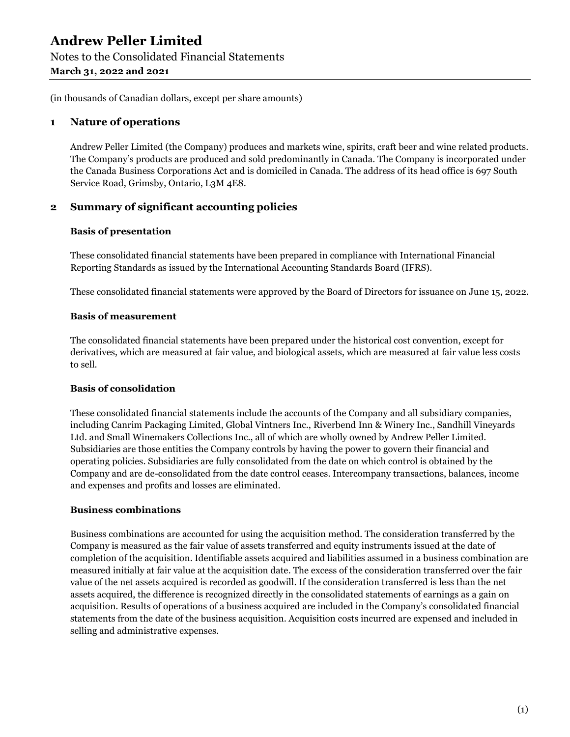### **Andrew Peller Limited**  Notes to the Consolidated Financial Statements **March 31, 2022 and 2021**

(in thousands of Canadian dollars, except per share amounts)

### **1 Nature of operations**

Andrew Peller Limited (the Company) produces and markets wine, spirits, craft beer and wine related products. The Company's products are produced and sold predominantly in Canada. The Company is incorporated under the Canada Business Corporations Act and is domiciled in Canada. The address of its head office is 697 South Service Road, Grimsby, Ontario, L3M 4E8.

### **2 Summary of significant accounting policies**

#### **Basis of presentation**

These consolidated financial statements have been prepared in compliance with International Financial Reporting Standards as issued by the International Accounting Standards Board (IFRS).

These consolidated financial statements were approved by the Board of Directors for issuance on June 15, 2022.

#### **Basis of measurement**

The consolidated financial statements have been prepared under the historical cost convention, except for derivatives, which are measured at fair value, and biological assets, which are measured at fair value less costs to sell.

### **Basis of consolidation**

These consolidated financial statements include the accounts of the Company and all subsidiary companies, including Canrim Packaging Limited, Global Vintners Inc., Riverbend Inn & Winery Inc., Sandhill Vineyards Ltd. and Small Winemakers Collections Inc., all of which are wholly owned by Andrew Peller Limited. Subsidiaries are those entities the Company controls by having the power to govern their financial and operating policies. Subsidiaries are fully consolidated from the date on which control is obtained by the Company and are de-consolidated from the date control ceases. Intercompany transactions, balances, income and expenses and profits and losses are eliminated.

#### **Business combinations**

Business combinations are accounted for using the acquisition method. The consideration transferred by the Company is measured as the fair value of assets transferred and equity instruments issued at the date of completion of the acquisition. Identifiable assets acquired and liabilities assumed in a business combination are measured initially at fair value at the acquisition date. The excess of the consideration transferred over the fair value of the net assets acquired is recorded as goodwill. If the consideration transferred is less than the net assets acquired, the difference is recognized directly in the consolidated statements of earnings as a gain on acquisition. Results of operations of a business acquired are included in the Company's consolidated financial statements from the date of the business acquisition. Acquisition costs incurred are expensed and included in selling and administrative expenses.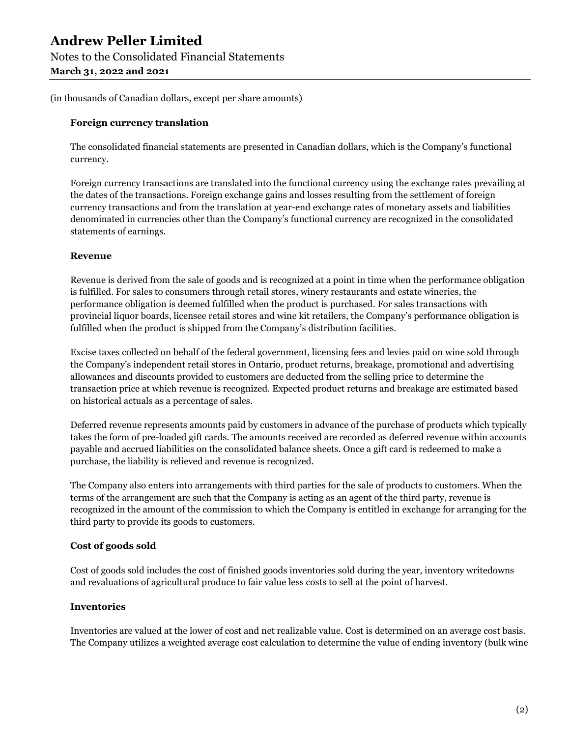### **Foreign currency translation**

The consolidated financial statements are presented in Canadian dollars, which is the Company's functional currency.

Foreign currency transactions are translated into the functional currency using the exchange rates prevailing at the dates of the transactions. Foreign exchange gains and losses resulting from the settlement of foreign currency transactions and from the translation at year-end exchange rates of monetary assets and liabilities denominated in currencies other than the Company's functional currency are recognized in the consolidated statements of earnings.

### **Revenue**

Revenue is derived from the sale of goods and is recognized at a point in time when the performance obligation is fulfilled. For sales to consumers through retail stores, winery restaurants and estate wineries, the performance obligation is deemed fulfilled when the product is purchased. For sales transactions with provincial liquor boards, licensee retail stores and wine kit retailers, the Company's performance obligation is fulfilled when the product is shipped from the Company's distribution facilities.

Excise taxes collected on behalf of the federal government, licensing fees and levies paid on wine sold through the Company's independent retail stores in Ontario, product returns, breakage, promotional and advertising allowances and discounts provided to customers are deducted from the selling price to determine the transaction price at which revenue is recognized. Expected product returns and breakage are estimated based on historical actuals as a percentage of sales.

Deferred revenue represents amounts paid by customers in advance of the purchase of products which typically takes the form of pre-loaded gift cards. The amounts received are recorded as deferred revenue within accounts payable and accrued liabilities on the consolidated balance sheets. Once a gift card is redeemed to make a purchase, the liability is relieved and revenue is recognized.

The Company also enters into arrangements with third parties for the sale of products to customers. When the terms of the arrangement are such that the Company is acting as an agent of the third party, revenue is recognized in the amount of the commission to which the Company is entitled in exchange for arranging for the third party to provide its goods to customers.

### **Cost of goods sold**

Cost of goods sold includes the cost of finished goods inventories sold during the year, inventory writedowns and revaluations of agricultural produce to fair value less costs to sell at the point of harvest.

### **Inventories**

Inventories are valued at the lower of cost and net realizable value. Cost is determined on an average cost basis. The Company utilizes a weighted average cost calculation to determine the value of ending inventory (bulk wine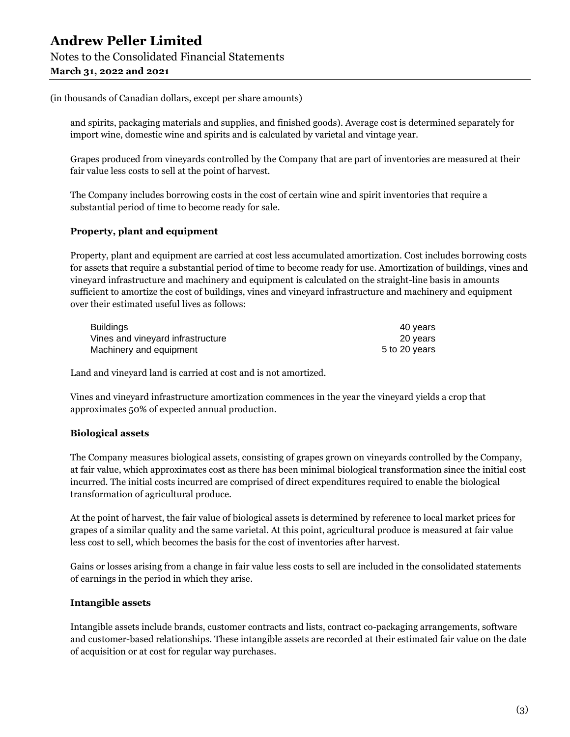and spirits, packaging materials and supplies, and finished goods). Average cost is determined separately for import wine, domestic wine and spirits and is calculated by varietal and vintage year.

Grapes produced from vineyards controlled by the Company that are part of inventories are measured at their fair value less costs to sell at the point of harvest.

The Company includes borrowing costs in the cost of certain wine and spirit inventories that require a substantial period of time to become ready for sale.

### **Property, plant and equipment**

Property, plant and equipment are carried at cost less accumulated amortization. Cost includes borrowing costs for assets that require a substantial period of time to become ready for use. Amortization of buildings, vines and vineyard infrastructure and machinery and equipment is calculated on the straight-line basis in amounts sufficient to amortize the cost of buildings, vines and vineyard infrastructure and machinery and equipment over their estimated useful lives as follows:

| <b>Buildings</b>                  | 40 years      |
|-----------------------------------|---------------|
| Vines and vineyard infrastructure | 20 years      |
| Machinery and equipment           | 5 to 20 years |

Land and vineyard land is carried at cost and is not amortized.

Vines and vineyard infrastructure amortization commences in the year the vineyard yields a crop that approximates 50% of expected annual production.

### **Biological assets**

The Company measures biological assets, consisting of grapes grown on vineyards controlled by the Company, at fair value, which approximates cost as there has been minimal biological transformation since the initial cost incurred. The initial costs incurred are comprised of direct expenditures required to enable the biological transformation of agricultural produce.

At the point of harvest, the fair value of biological assets is determined by reference to local market prices for grapes of a similar quality and the same varietal. At this point, agricultural produce is measured at fair value less cost to sell, which becomes the basis for the cost of inventories after harvest.

Gains or losses arising from a change in fair value less costs to sell are included in the consolidated statements of earnings in the period in which they arise.

### **Intangible assets**

Intangible assets include brands, customer contracts and lists, contract co-packaging arrangements, software and customer-based relationships. These intangible assets are recorded at their estimated fair value on the date of acquisition or at cost for regular way purchases.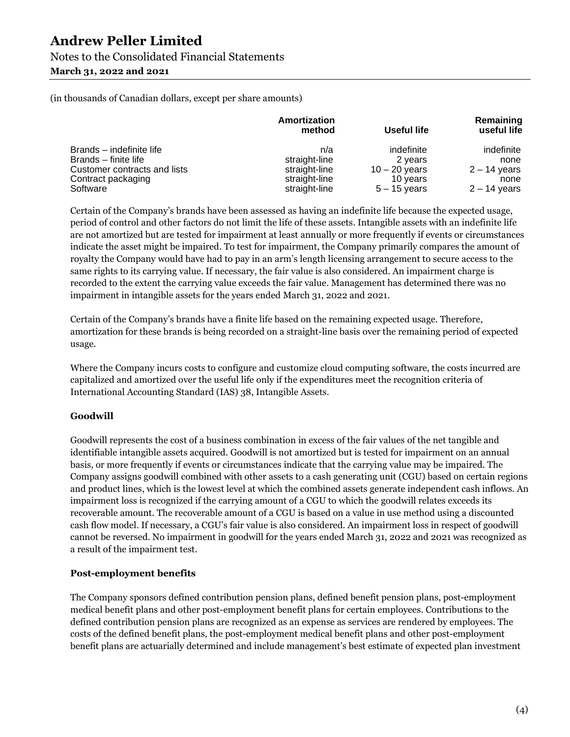### **Andrew Peller Limited**  Notes to the Consolidated Financial Statements **March 31, 2022 and 2021**

(in thousands of Canadian dollars, except per share amounts)

|                              | Amortization<br>method | Useful life     | Remaining<br>useful life |
|------------------------------|------------------------|-----------------|--------------------------|
| Brands – indefinite life     | n/a                    | indefinite      | indefinite               |
| Brands - finite life         | straight-line          | 2 years         | none                     |
| Customer contracts and lists | straight-line          | $10 - 20$ years | $2 - 14$ years           |
| Contract packaging           | straight-line          | 10 years        | none                     |
| Software                     | straight-line          | $5 - 15$ years  | $2 - 14$ years           |

Certain of the Company's brands have been assessed as having an indefinite life because the expected usage, period of control and other factors do not limit the life of these assets. Intangible assets with an indefinite life are not amortized but are tested for impairment at least annually or more frequently if events or circumstances indicate the asset might be impaired. To test for impairment, the Company primarily compares the amount of royalty the Company would have had to pay in an arm's length licensing arrangement to secure access to the same rights to its carrying value. If necessary, the fair value is also considered. An impairment charge is recorded to the extent the carrying value exceeds the fair value. Management has determined there was no impairment in intangible assets for the years ended March 31, 2022 and 2021.

Certain of the Company's brands have a finite life based on the remaining expected usage. Therefore, amortization for these brands is being recorded on a straight-line basis over the remaining period of expected usage.

Where the Company incurs costs to configure and customize cloud computing software, the costs incurred are capitalized and amortized over the useful life only if the expenditures meet the recognition criteria of International Accounting Standard (IAS) 38, Intangible Assets.

### **Goodwill**

Goodwill represents the cost of a business combination in excess of the fair values of the net tangible and identifiable intangible assets acquired. Goodwill is not amortized but is tested for impairment on an annual basis, or more frequently if events or circumstances indicate that the carrying value may be impaired. The Company assigns goodwill combined with other assets to a cash generating unit (CGU) based on certain regions and product lines, which is the lowest level at which the combined assets generate independent cash inflows. An impairment loss is recognized if the carrying amount of a CGU to which the goodwill relates exceeds its recoverable amount. The recoverable amount of a CGU is based on a value in use method using a discounted cash flow model. If necessary, a CGU's fair value is also considered. An impairment loss in respect of goodwill cannot be reversed. No impairment in goodwill for the years ended March 31, 2022 and 2021 was recognized as a result of the impairment test.

### **Post-employment benefits**

The Company sponsors defined contribution pension plans, defined benefit pension plans, post-employment medical benefit plans and other post-employment benefit plans for certain employees. Contributions to the defined contribution pension plans are recognized as an expense as services are rendered by employees. The costs of the defined benefit plans, the post-employment medical benefit plans and other post-employment benefit plans are actuarially determined and include management's best estimate of expected plan investment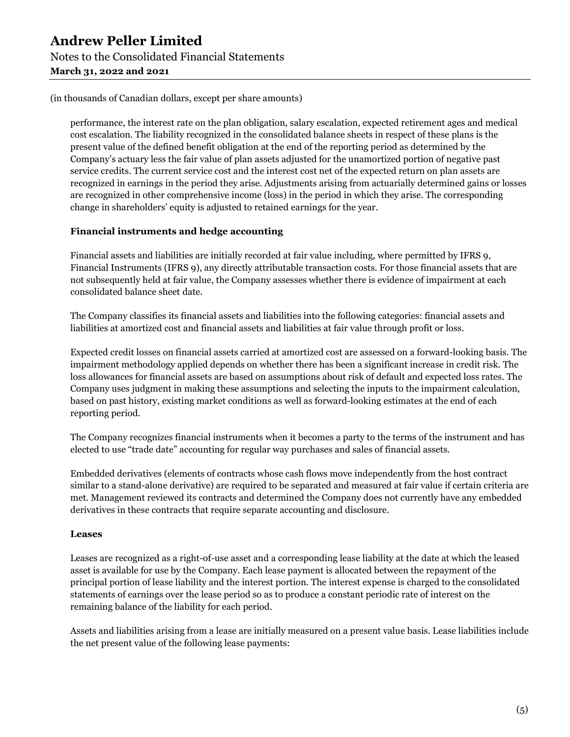performance, the interest rate on the plan obligation, salary escalation, expected retirement ages and medical cost escalation. The liability recognized in the consolidated balance sheets in respect of these plans is the present value of the defined benefit obligation at the end of the reporting period as determined by the Company's actuary less the fair value of plan assets adjusted for the unamortized portion of negative past service credits. The current service cost and the interest cost net of the expected return on plan assets are recognized in earnings in the period they arise. Adjustments arising from actuarially determined gains or losses are recognized in other comprehensive income (loss) in the period in which they arise. The corresponding change in shareholders' equity is adjusted to retained earnings for the year.

### **Financial instruments and hedge accounting**

Financial assets and liabilities are initially recorded at fair value including, where permitted by IFRS 9, Financial Instruments (IFRS 9), any directly attributable transaction costs. For those financial assets that are not subsequently held at fair value, the Company assesses whether there is evidence of impairment at each consolidated balance sheet date.

The Company classifies its financial assets and liabilities into the following categories: financial assets and liabilities at amortized cost and financial assets and liabilities at fair value through profit or loss.

Expected credit losses on financial assets carried at amortized cost are assessed on a forward-looking basis. The impairment methodology applied depends on whether there has been a significant increase in credit risk. The loss allowances for financial assets are based on assumptions about risk of default and expected loss rates. The Company uses judgment in making these assumptions and selecting the inputs to the impairment calculation, based on past history, existing market conditions as well as forward-looking estimates at the end of each reporting period.

The Company recognizes financial instruments when it becomes a party to the terms of the instrument and has elected to use "trade date" accounting for regular way purchases and sales of financial assets.

Embedded derivatives (elements of contracts whose cash flows move independently from the host contract similar to a stand-alone derivative) are required to be separated and measured at fair value if certain criteria are met. Management reviewed its contracts and determined the Company does not currently have any embedded derivatives in these contracts that require separate accounting and disclosure.

### **Leases**

Leases are recognized as a right-of-use asset and a corresponding lease liability at the date at which the leased asset is available for use by the Company. Each lease payment is allocated between the repayment of the principal portion of lease liability and the interest portion. The interest expense is charged to the consolidated statements of earnings over the lease period so as to produce a constant periodic rate of interest on the remaining balance of the liability for each period.

Assets and liabilities arising from a lease are initially measured on a present value basis. Lease liabilities include the net present value of the following lease payments: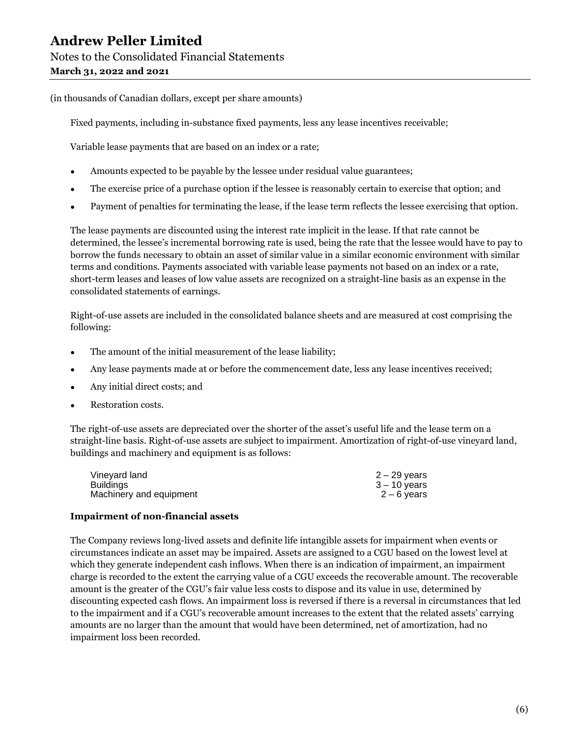Fixed payments, including in-substance fixed payments, less any lease incentives receivable;

Variable lease payments that are based on an index or a rate;

- Amounts expected to be payable by the lessee under residual value guarantees;
- The exercise price of a purchase option if the lessee is reasonably certain to exercise that option; and
- Payment of penalties for terminating the lease, if the lease term reflects the lessee exercising that option.

The lease payments are discounted using the interest rate implicit in the lease. If that rate cannot be determined, the lessee's incremental borrowing rate is used, being the rate that the lessee would have to pay to borrow the funds necessary to obtain an asset of similar value in a similar economic environment with similar terms and conditions. Payments associated with variable lease payments not based on an index or a rate, short-term leases and leases of low value assets are recognized on a straight-line basis as an expense in the consolidated statements of earnings.

Right-of-use assets are included in the consolidated balance sheets and are measured at cost comprising the following:

- The amount of the initial measurement of the lease liability;
- Any lease payments made at or before the commencement date, less any lease incentives received;
- Any initial direct costs; and
- Restoration costs.

The right-of-use assets are depreciated over the shorter of the asset's useful life and the lease term on a straight-line basis. Right-of-use assets are subject to impairment. Amortization of right-of-use vineyard land, buildings and machinery and equipment is as follows:

| Vineyard land           | $2 - 29$ years |
|-------------------------|----------------|
| <b>Buildings</b>        | $3 - 10$ years |
| Machinery and equipment | $2 - 6$ vears  |

#### **Impairment of non-financial assets**

The Company reviews long-lived assets and definite life intangible assets for impairment when events or circumstances indicate an asset may be impaired. Assets are assigned to a CGU based on the lowest level at which they generate independent cash inflows. When there is an indication of impairment, an impairment charge is recorded to the extent the carrying value of a CGU exceeds the recoverable amount. The recoverable amount is the greater of the CGU's fair value less costs to dispose and its value in use, determined by discounting expected cash flows. An impairment loss is reversed if there is a reversal in circumstances that led to the impairment and if a CGU's recoverable amount increases to the extent that the related assets' carrying amounts are no larger than the amount that would have been determined, net of amortization, had no impairment loss been recorded.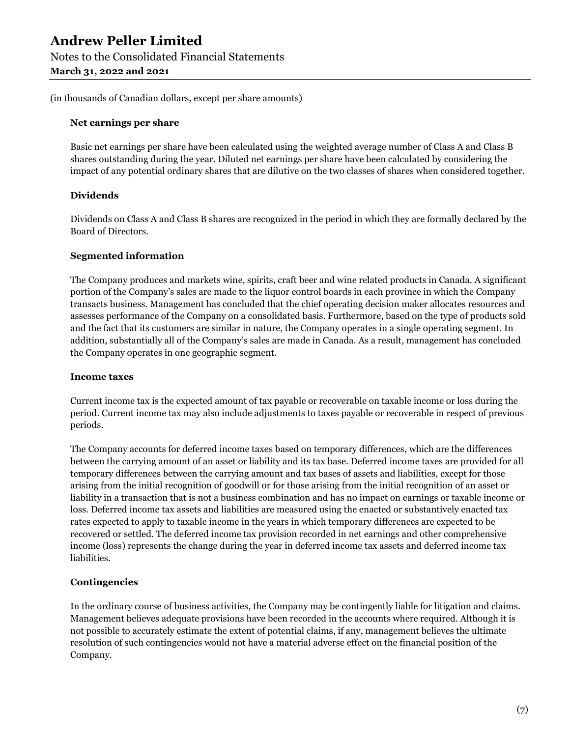#### **Net earnings per share**

Basic net earnings per share have been calculated using the weighted average number of Class A and Class B shares outstanding during the year. Diluted net earnings per share have been calculated by considering the impact of any potential ordinary shares that are dilutive on the two classes of shares when considered together.

### **Dividends**

Dividends on Class A and Class B shares are recognized in the period in which they are formally declared by the Board of Directors.

### **Segmented information**

The Company produces and markets wine, spirits, craft beer and wine related products in Canada. A significant portion of the Company's sales are made to the liquor control boards in each province in which the Company transacts business. Management has concluded that the chief operating decision maker allocates resources and assesses performance of the Company on a consolidated basis. Furthermore, based on the type of products sold and the fact that its customers are similar in nature, the Company operates in a single operating segment. In addition, substantially all of the Company's sales are made in Canada. As a result, management has concluded the Company operates in one geographic segment.

#### **Income taxes**

Current income tax is the expected amount of tax payable or recoverable on taxable income or loss during the period. Current income tax may also include adjustments to taxes payable or recoverable in respect of previous periods.

The Company accounts for deferred income taxes based on temporary differences, which are the differences between the carrying amount of an asset or liability and its tax base. Deferred income taxes are provided for all temporary differences between the carrying amount and tax bases of assets and liabilities, except for those arising from the initial recognition of goodwill or for those arising from the initial recognition of an asset or liability in a transaction that is not a business combination and has no impact on earnings or taxable income or loss. Deferred income tax assets and liabilities are measured using the enacted or substantively enacted tax rates expected to apply to taxable income in the years in which temporary differences are expected to be recovered or settled. The deferred income tax provision recorded in net earnings and other comprehensive income (loss) represents the change during the year in deferred income tax assets and deferred income tax liabilities.

### **Contingencies**

In the ordinary course of business activities, the Company may be contingently liable for litigation and claims. Management believes adequate provisions have been recorded in the accounts where required. Although it is not possible to accurately estimate the extent of potential claims, if any, management believes the ultimate resolution of such contingencies would not have a material adverse effect on the financial position of the Company.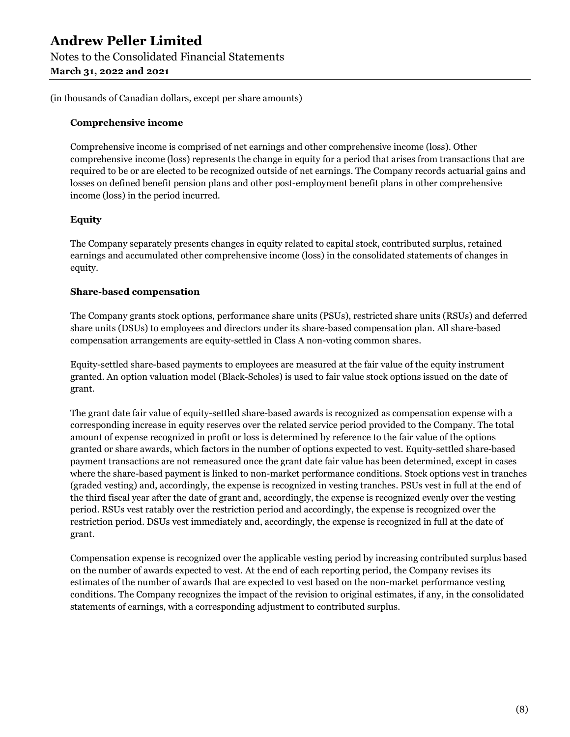#### **Comprehensive income**

Comprehensive income is comprised of net earnings and other comprehensive income (loss). Other comprehensive income (loss) represents the change in equity for a period that arises from transactions that are required to be or are elected to be recognized outside of net earnings. The Company records actuarial gains and losses on defined benefit pension plans and other post-employment benefit plans in other comprehensive income (loss) in the period incurred.

### **Equity**

The Company separately presents changes in equity related to capital stock, contributed surplus, retained earnings and accumulated other comprehensive income (loss) in the consolidated statements of changes in equity.

### **Share-based compensation**

The Company grants stock options, performance share units (PSUs), restricted share units (RSUs) and deferred share units (DSUs) to employees and directors under its share-based compensation plan. All share-based compensation arrangements are equity-settled in Class A non-voting common shares.

Equity-settled share-based payments to employees are measured at the fair value of the equity instrument granted. An option valuation model (Black-Scholes) is used to fair value stock options issued on the date of grant.

The grant date fair value of equity-settled share-based awards is recognized as compensation expense with a corresponding increase in equity reserves over the related service period provided to the Company. The total amount of expense recognized in profit or loss is determined by reference to the fair value of the options granted or share awards, which factors in the number of options expected to vest. Equity-settled share-based payment transactions are not remeasured once the grant date fair value has been determined, except in cases where the share-based payment is linked to non-market performance conditions. Stock options vest in tranches (graded vesting) and, accordingly, the expense is recognized in vesting tranches. PSUs vest in full at the end of the third fiscal year after the date of grant and, accordingly, the expense is recognized evenly over the vesting period. RSUs vest ratably over the restriction period and accordingly, the expense is recognized over the restriction period. DSUs vest immediately and, accordingly, the expense is recognized in full at the date of grant.

Compensation expense is recognized over the applicable vesting period by increasing contributed surplus based on the number of awards expected to vest. At the end of each reporting period, the Company revises its estimates of the number of awards that are expected to vest based on the non-market performance vesting conditions. The Company recognizes the impact of the revision to original estimates, if any, in the consolidated statements of earnings, with a corresponding adjustment to contributed surplus.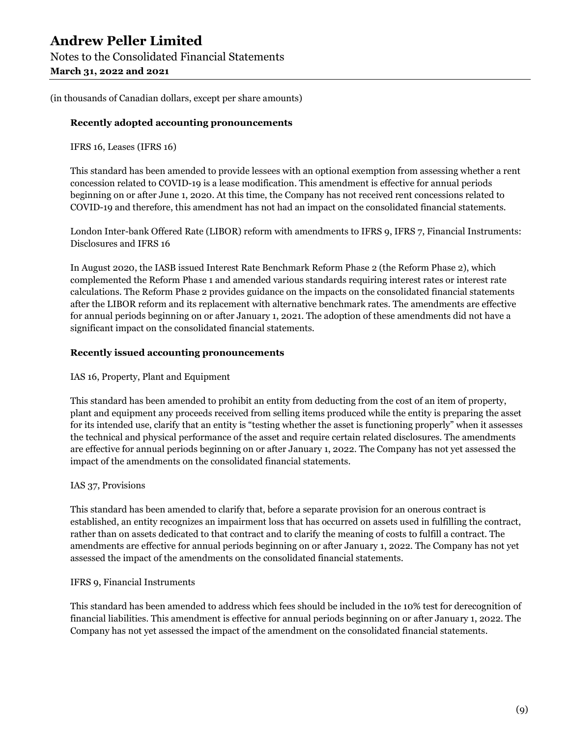#### **Recently adopted accounting pronouncements**

IFRS 16, Leases (IFRS 16)

This standard has been amended to provide lessees with an optional exemption from assessing whether a rent concession related to COVID-19 is a lease modification. This amendment is effective for annual periods beginning on or after June 1, 2020. At this time, the Company has not received rent concessions related to COVID-19 and therefore, this amendment has not had an impact on the consolidated financial statements.

London Inter-bank Offered Rate (LIBOR) reform with amendments to IFRS 9, IFRS 7, Financial Instruments: Disclosures and IFRS 16

In August 2020, the IASB issued Interest Rate Benchmark Reform Phase 2 (the Reform Phase 2), which complemented the Reform Phase 1 and amended various standards requiring interest rates or interest rate calculations. The Reform Phase 2 provides guidance on the impacts on the consolidated financial statements after the LIBOR reform and its replacement with alternative benchmark rates. The amendments are effective for annual periods beginning on or after January 1, 2021. The adoption of these amendments did not have a significant impact on the consolidated financial statements.

### **Recently issued accounting pronouncements**

IAS 16, Property, Plant and Equipment

This standard has been amended to prohibit an entity from deducting from the cost of an item of property, plant and equipment any proceeds received from selling items produced while the entity is preparing the asset for its intended use, clarify that an entity is "testing whether the asset is functioning properly" when it assesses the technical and physical performance of the asset and require certain related disclosures. The amendments are effective for annual periods beginning on or after January 1, 2022. The Company has not yet assessed the impact of the amendments on the consolidated financial statements.

### IAS 37, Provisions

This standard has been amended to clarify that, before a separate provision for an onerous contract is established, an entity recognizes an impairment loss that has occurred on assets used in fulfilling the contract, rather than on assets dedicated to that contract and to clarify the meaning of costs to fulfill a contract. The amendments are effective for annual periods beginning on or after January 1, 2022. The Company has not yet assessed the impact of the amendments on the consolidated financial statements.

#### IFRS 9, Financial Instruments

This standard has been amended to address which fees should be included in the 10% test for derecognition of financial liabilities. This amendment is effective for annual periods beginning on or after January 1, 2022. The Company has not yet assessed the impact of the amendment on the consolidated financial statements.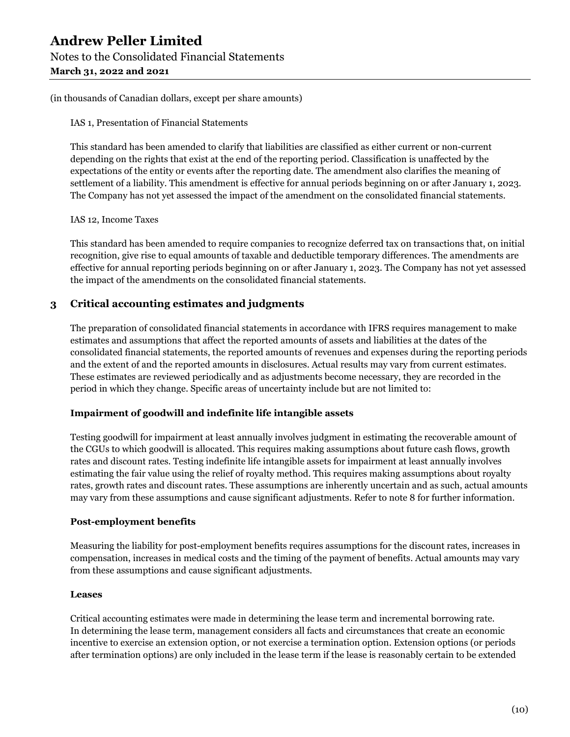### IAS 1, Presentation of Financial Statements

This standard has been amended to clarify that liabilities are classified as either current or non-current depending on the rights that exist at the end of the reporting period. Classification is unaffected by the expectations of the entity or events after the reporting date. The amendment also clarifies the meaning of settlement of a liability. This amendment is effective for annual periods beginning on or after January 1, 2023. The Company has not yet assessed the impact of the amendment on the consolidated financial statements.

### IAS 12, Income Taxes

This standard has been amended to require companies to recognize deferred tax on transactions that, on initial recognition, give rise to equal amounts of taxable and deductible temporary differences. The amendments are effective for annual reporting periods beginning on or after January 1, 2023. The Company has not yet assessed the impact of the amendments on the consolidated financial statements.

### **3 Critical accounting estimates and judgments**

The preparation of consolidated financial statements in accordance with IFRS requires management to make estimates and assumptions that affect the reported amounts of assets and liabilities at the dates of the consolidated financial statements, the reported amounts of revenues and expenses during the reporting periods and the extent of and the reported amounts in disclosures. Actual results may vary from current estimates. These estimates are reviewed periodically and as adjustments become necessary, they are recorded in the period in which they change. Specific areas of uncertainty include but are not limited to:

### **Impairment of goodwill and indefinite life intangible assets**

Testing goodwill for impairment at least annually involves judgment in estimating the recoverable amount of the CGUs to which goodwill is allocated. This requires making assumptions about future cash flows, growth rates and discount rates. Testing indefinite life intangible assets for impairment at least annually involves estimating the fair value using the relief of royalty method. This requires making assumptions about royalty rates, growth rates and discount rates. These assumptions are inherently uncertain and as such, actual amounts may vary from these assumptions and cause significant adjustments. Refer to note 8 for further information.

### **Post-employment benefits**

Measuring the liability for post-employment benefits requires assumptions for the discount rates, increases in compensation, increases in medical costs and the timing of the payment of benefits. Actual amounts may vary from these assumptions and cause significant adjustments.

### **Leases**

Critical accounting estimates were made in determining the lease term and incremental borrowing rate. In determining the lease term, management considers all facts and circumstances that create an economic incentive to exercise an extension option, or not exercise a termination option. Extension options (or periods after termination options) are only included in the lease term if the lease is reasonably certain to be extended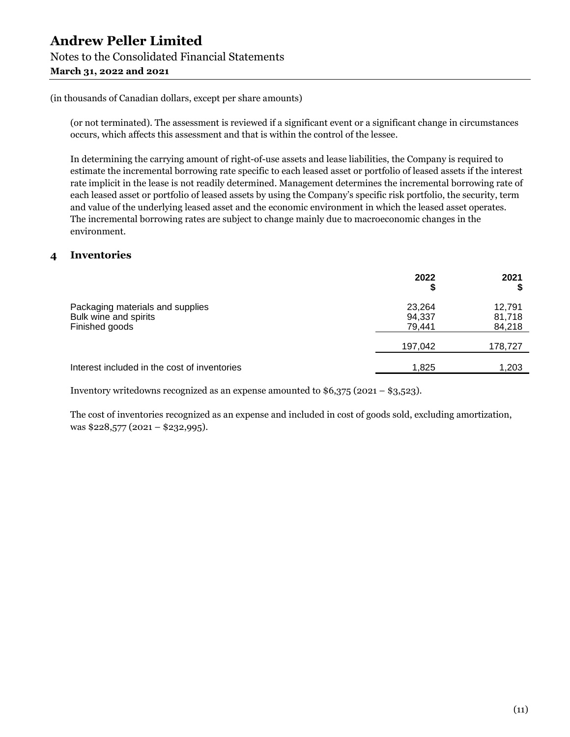(or not terminated). The assessment is reviewed if a significant event or a significant change in circumstances occurs, which affects this assessment and that is within the control of the lessee.

In determining the carrying amount of right-of-use assets and lease liabilities, the Company is required to estimate the incremental borrowing rate specific to each leased asset or portfolio of leased assets if the interest rate implicit in the lease is not readily determined. Management determines the incremental borrowing rate of each leased asset or portfolio of leased assets by using the Company's specific risk portfolio, the security, term and value of the underlying leased asset and the economic environment in which the leased asset operates. The incremental borrowing rates are subject to change mainly due to macroeconomic changes in the environment.

### **4 Inventories**

|                                                                             | 2022                       | 2021                       |
|-----------------------------------------------------------------------------|----------------------------|----------------------------|
| Packaging materials and supplies<br>Bulk wine and spirits<br>Finished goods | 23,264<br>94,337<br>79.441 | 12,791<br>81,718<br>84,218 |
|                                                                             | 197.042                    | 178,727                    |
| Interest included in the cost of inventories                                | 1,825                      | 1,203                      |

Inventory writedowns recognized as an expense amounted to  $$6,375$  (2021 –  $$3,523$ ).

The cost of inventories recognized as an expense and included in cost of goods sold, excluding amortization, was \$228,577 (2021 – \$232,995).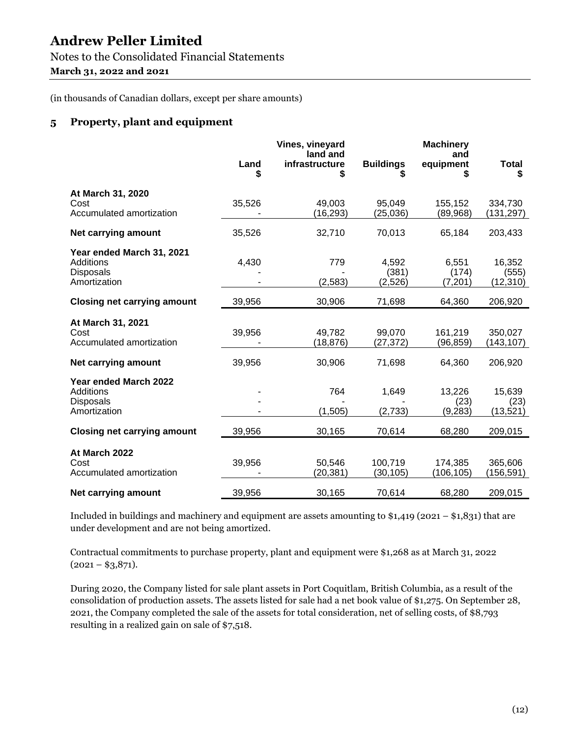Notes to the Consolidated Financial Statements

### **March 31, 2022 and 2021**

(in thousands of Canadian dollars, except per share amounts)

### **5 Property, plant and equipment**

|                                        |        | Vines, vineyard<br>land and |                      | <b>Machinery</b>      |                       |
|----------------------------------------|--------|-----------------------------|----------------------|-----------------------|-----------------------|
|                                        | Land   | infrastructure              | <b>Buildings</b>     | and<br>equipment<br>S | <b>Total</b><br>S     |
| At March 31, 2020<br>Cost              | 35,526 | 49,003                      | 95,049               | 155,152               | 334,730               |
| Accumulated amortization               |        | (16, 293)                   | (25,036)             | (89,968)              | (131,297)             |
| Net carrying amount                    | 35,526 | 32,710                      | 70,013               | 65,184                | 203,433               |
| Year ended March 31, 2021<br>Additions | 4,430  | 779                         | 4,592                | 6,551                 | 16,352                |
| <b>Disposals</b><br>Amortization       |        | (2, 583)                    | (381)<br>(2,526)     | (174)<br>(7, 201)     | (555)<br>(12, 310)    |
| <b>Closing net carrying amount</b>     | 39,956 | 30,906                      | 71,698               | 64,360                | 206,920               |
| At March 31, 2021                      |        |                             |                      |                       |                       |
| Cost<br>Accumulated amortization       | 39,956 | 49,782<br>(18, 876)         | 99,070<br>(27,372)   | 161,219<br>(96, 859)  | 350,027<br>(143, 107) |
| Net carrying amount                    | 39,956 | 30,906                      | 71,698               | 64,360                | 206,920               |
| Year ended March 2022<br>Additions     |        | 764                         | 1,649                | 13,226                | 15,639                |
| <b>Disposals</b><br>Amortization       |        | (1, 505)                    | (2,733)              | (23)<br>(9, 283)      | (23)<br>(13, 521)     |
| <b>Closing net carrying amount</b>     | 39,956 | 30,165                      | 70,614               | 68,280                | 209,015               |
| At March 2022                          |        |                             |                      |                       |                       |
| Cost<br>Accumulated amortization       | 39,956 | 50,546<br>(20, 381)         | 100,719<br>(30, 105) | 174,385<br>(106, 105) | 365,606<br>(156, 591) |
| Net carrying amount                    | 39,956 | 30,165                      | 70,614               | 68,280                | 209,015               |

Included in buildings and machinery and equipment are assets amounting to \$1,419 (2021 – \$1,831) that are under development and are not being amortized.

Contractual commitments to purchase property, plant and equipment were \$1,268 as at March 31, 2022  $(2021 - $3,871)$ .

During 2020, the Company listed for sale plant assets in Port Coquitlam, British Columbia, as a result of the consolidation of production assets. The assets listed for sale had a net book value of \$1,275. On September 28, 2021, the Company completed the sale of the assets for total consideration, net of selling costs, of \$8,793 resulting in a realized gain on sale of \$7,518.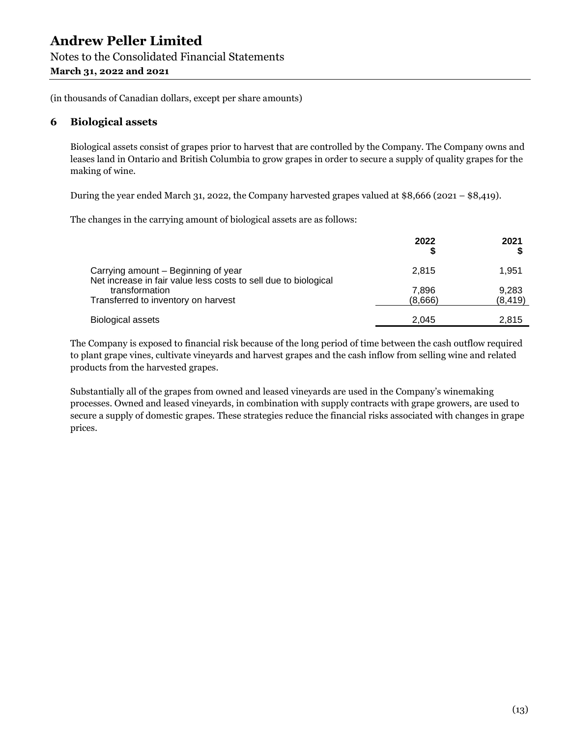### **6 Biological assets**

Biological assets consist of grapes prior to harvest that are controlled by the Company. The Company owns and leases land in Ontario and British Columbia to grow grapes in order to secure a supply of quality grapes for the making of wine.

During the year ended March 31, 2022, the Company harvested grapes valued at \$8,666 (2021 – \$8,419).

The changes in the carrying amount of biological assets are as follows:

|                                                                                                        | 2022             | 2021              |
|--------------------------------------------------------------------------------------------------------|------------------|-------------------|
| Carrying amount – Beginning of year<br>Net increase in fair value less costs to sell due to biological | 2,815            | 1.951             |
| transformation<br>Transferred to inventory on harvest                                                  | 7.896<br>(8,666) | 9,283<br>(8, 419) |
| <b>Biological assets</b>                                                                               | 2,045            | 2,815             |

The Company is exposed to financial risk because of the long period of time between the cash outflow required to plant grape vines, cultivate vineyards and harvest grapes and the cash inflow from selling wine and related products from the harvested grapes.

Substantially all of the grapes from owned and leased vineyards are used in the Company's winemaking processes. Owned and leased vineyards, in combination with supply contracts with grape growers, are used to secure a supply of domestic grapes. These strategies reduce the financial risks associated with changes in grape prices.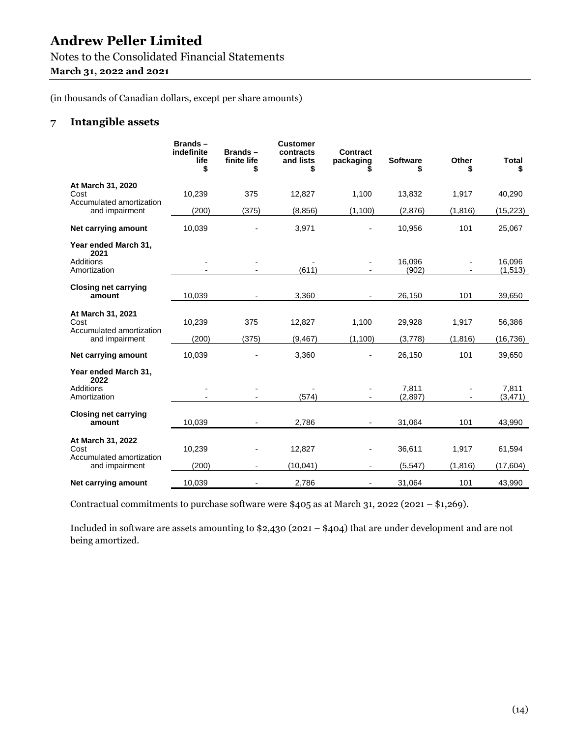### Notes to the Consolidated Financial Statements

### **March 31, 2022 and 2021**

(in thousands of Canadian dollars, except per share amounts)

### **7 Intangible assets**

|                                                                         | Brands-<br>indefinite<br>life<br>\$ | Brands-<br>finite life<br>\$ | <b>Customer</b><br>contracts<br>and lists<br>S | Contract<br>packaging | <b>Software</b><br>\$ | Other<br>S               | <b>Total</b><br>S   |
|-------------------------------------------------------------------------|-------------------------------------|------------------------------|------------------------------------------------|-----------------------|-----------------------|--------------------------|---------------------|
| At March 31, 2020<br>Cost                                               | 10,239                              | 375                          | 12,827                                         | 1,100                 | 13,832                | 1,917                    | 40,290              |
| Accumulated amortization<br>and impairment                              | (200)                               | (375)                        | (8, 856)                                       | (1,100)               | (2,876)               | (1,816)                  | (15, 223)           |
| Net carrying amount                                                     | 10,039                              |                              | 3,971                                          |                       | 10,956                | 101                      | 25,067              |
| Year ended March 31,<br>2021<br>Additions<br>Amortization               |                                     |                              | (611)                                          |                       | 16,096<br>(902)       | $\overline{\phantom{a}}$ | 16,096<br>(1, 513)  |
| <b>Closing net carrying</b><br>amount                                   | 10,039                              |                              | 3,360                                          |                       | 26,150                | 101                      | 39,650              |
| At March 31, 2021<br>Cost<br>Accumulated amortization<br>and impairment | 10,239<br>(200)                     | 375<br>(375)                 | 12,827<br>(9, 467)                             | 1,100<br>(1,100)      | 29,928<br>(3,778)     | 1,917<br>(1, 816)        | 56,386<br>(16, 736) |
| Net carrying amount                                                     | 10,039                              |                              | 3,360                                          |                       | 26,150                | 101                      | 39,650              |
| Year ended March 31,<br>2022<br>Additions<br>Amortization               |                                     |                              | (574)                                          |                       | 7,811<br>(2,897)      |                          | 7,811<br>(3, 471)   |
| <b>Closing net carrying</b><br>amount                                   | 10.039                              |                              | 2.786                                          |                       | 31,064                | 101                      | 43,990              |
| At March 31, 2022<br>Cost<br>Accumulated amortization                   | 10,239                              |                              | 12,827                                         |                       | 36,611                | 1,917                    | 61,594              |
| and impairment                                                          | (200)                               | $\overline{\phantom{a}}$     | (10, 041)                                      |                       | (5, 547)              | (1,816)                  | (17, 604)           |
| Net carrying amount                                                     | 10,039                              |                              | 2,786                                          |                       | 31,064                | 101                      | 43,990              |

Contractual commitments to purchase software were \$405 as at March 31, 2022 (2021 – \$1,269).

Included in software are assets amounting to \$2,430 (2021 – \$404) that are under development and are not being amortized.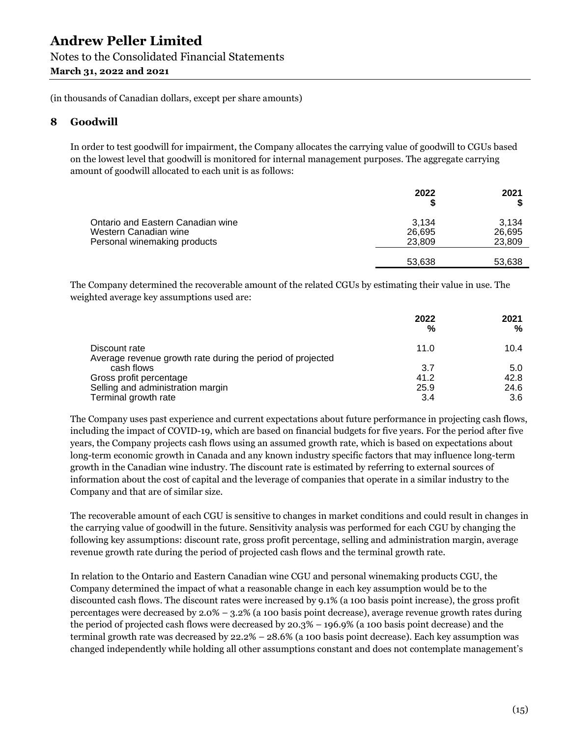### **8 Goodwill**

In order to test goodwill for impairment, the Company allocates the carrying value of goodwill to CGUs based on the lowest level that goodwill is monitored for internal management purposes. The aggregate carrying amount of goodwill allocated to each unit is as follows:

|                                                                                            | 2022<br>S                 | 2021                      |
|--------------------------------------------------------------------------------------------|---------------------------|---------------------------|
| Ontario and Eastern Canadian wine<br>Western Canadian wine<br>Personal winemaking products | 3.134<br>26,695<br>23,809 | 3.134<br>26,695<br>23,809 |
|                                                                                            | 53,638                    | 53,638                    |

The Company determined the recoverable amount of the related CGUs by estimating their value in use. The weighted average key assumptions used are:

|                                                                          | 2022<br>% | 2021<br>% |
|--------------------------------------------------------------------------|-----------|-----------|
| Discount rate                                                            | 11.0      | 10.4      |
| Average revenue growth rate during the period of projected<br>cash flows | 3.7       | 5.0       |
| Gross profit percentage                                                  | 41.2      | 42.8      |
| Selling and administration margin                                        | 25.9      | 24.6      |
| Terminal growth rate                                                     | 3.4       | 3.6       |

The Company uses past experience and current expectations about future performance in projecting cash flows, including the impact of COVID-19, which are based on financial budgets for five years. For the period after five years, the Company projects cash flows using an assumed growth rate, which is based on expectations about long-term economic growth in Canada and any known industry specific factors that may influence long-term growth in the Canadian wine industry. The discount rate is estimated by referring to external sources of information about the cost of capital and the leverage of companies that operate in a similar industry to the Company and that are of similar size.

The recoverable amount of each CGU is sensitive to changes in market conditions and could result in changes in the carrying value of goodwill in the future. Sensitivity analysis was performed for each CGU by changing the following key assumptions: discount rate, gross profit percentage, selling and administration margin, average revenue growth rate during the period of projected cash flows and the terminal growth rate.

In relation to the Ontario and Eastern Canadian wine CGU and personal winemaking products CGU, the Company determined the impact of what a reasonable change in each key assumption would be to the discounted cash flows. The discount rates were increased by 9.1% (a 100 basis point increase), the gross profit percentages were decreased by 2.0% – 3.2% (a 100 basis point decrease), average revenue growth rates during the period of projected cash flows were decreased by 20.3% – 196.9% (a 100 basis point decrease) and the terminal growth rate was decreased by 22.2% – 28.6% (a 100 basis point decrease). Each key assumption was changed independently while holding all other assumptions constant and does not contemplate management's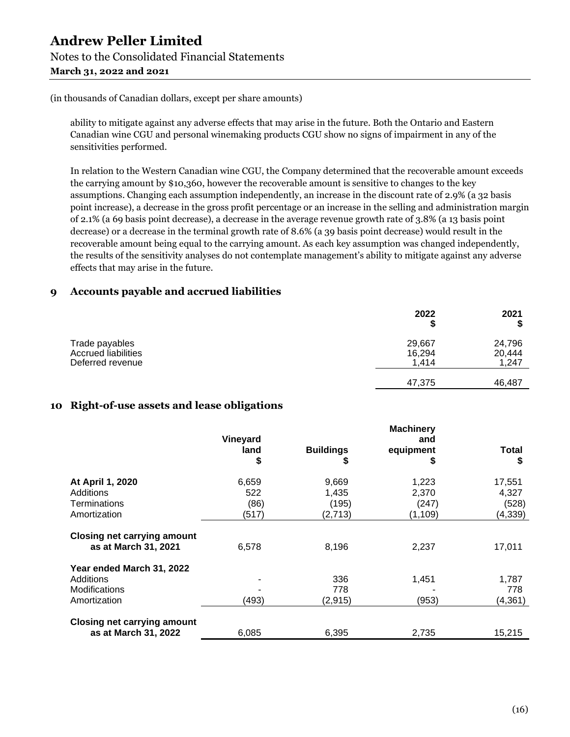ability to mitigate against any adverse effects that may arise in the future. Both the Ontario and Eastern Canadian wine CGU and personal winemaking products CGU show no signs of impairment in any of the sensitivities performed.

In relation to the Western Canadian wine CGU, the Company determined that the recoverable amount exceeds the carrying amount by \$10,360, however the recoverable amount is sensitive to changes to the key assumptions. Changing each assumption independently, an increase in the discount rate of 2.9% (a 32 basis point increase), a decrease in the gross profit percentage or an increase in the selling and administration margin of 2.1% (a 69 basis point decrease), a decrease in the average revenue growth rate of 3.8% (a 13 basis point decrease) or a decrease in the terminal growth rate of 8.6% (a 39 basis point decrease) would result in the recoverable amount being equal to the carrying amount. As each key assumption was changed independently, the results of the sensitivity analyses do not contemplate management's ability to mitigate against any adverse effects that may arise in the future.

### **9 Accounts payable and accrued liabilities**

|                                                                  | 2022                      | 2021                      |
|------------------------------------------------------------------|---------------------------|---------------------------|
| Trade payables<br><b>Accrued liabilities</b><br>Deferred revenue | 29,667<br>16,294<br>1.414 | 24,796<br>20,444<br>1.247 |
|                                                                  | 47,375                    | 46,487                    |

### **10 Right-of-use assets and lease obligations**

|                                                            |                        |                       | <b>Machinery</b>      |            |  |
|------------------------------------------------------------|------------------------|-----------------------|-----------------------|------------|--|
|                                                            | Vineyard<br>land<br>\$ | <b>Buildings</b><br>S | and<br>equipment<br>S | Total<br>S |  |
| At April 1, 2020                                           | 6,659                  | 9,669                 | 1,223                 | 17,551     |  |
| Additions                                                  | 522                    | 1,435                 | 2,370                 | 4,327      |  |
| <b>Terminations</b>                                        | (86)                   | (195)                 | (247)                 | (528)      |  |
| Amortization                                               | (517)                  | (2,713)               | (1, 109)              | (4, 339)   |  |
| <b>Closing net carrying amount</b><br>as at March 31, 2021 | 6.578                  | 8,196                 | 2,237                 | 17,011     |  |
| Year ended March 31, 2022                                  |                        |                       |                       |            |  |
| Additions                                                  |                        | 336                   | 1,451                 | 1,787      |  |
| <b>Modifications</b>                                       |                        | 778                   |                       | 778        |  |
| Amortization                                               | (493)                  | (2, 915)              | (953)                 | (4, 361)   |  |
| <b>Closing net carrying amount</b>                         |                        |                       |                       |            |  |
| as at March 31, 2022                                       | 6,085                  | 6,395                 | 2,735                 | 15,215     |  |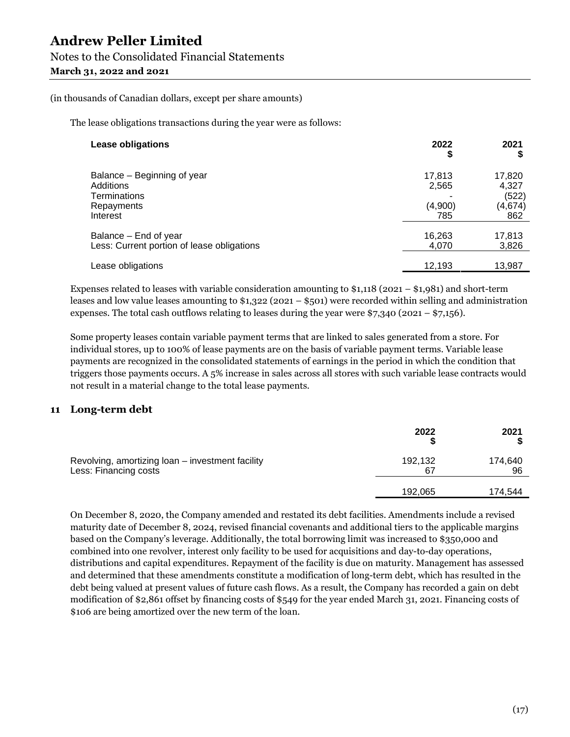The lease obligations transactions during the year were as follows:

| <b>Lease obligations</b>                                                                  | 2022<br>P                         | 2021<br>S                                  |
|-------------------------------------------------------------------------------------------|-----------------------------------|--------------------------------------------|
| Balance - Beginning of year<br>Additions<br><b>Terminations</b><br>Repayments<br>Interest | 17,813<br>2,565<br>(4,900)<br>785 | 17,820<br>4,327<br>(522)<br>(4,674)<br>862 |
| Balance – End of year<br>Less: Current portion of lease obligations                       | 16,263<br>4,070                   | 17,813<br>3,826                            |
| Lease obligations                                                                         | 12,193                            | 13,987                                     |

Expenses related to leases with variable consideration amounting to \$1,118 (2021 – \$1,981) and short-term leases and low value leases amounting to \$1,322 (2021 – \$501) were recorded within selling and administration expenses. The total cash outflows relating to leases during the year were \$7,340 (2021 – \$7,156).

Some property leases contain variable payment terms that are linked to sales generated from a store. For individual stores, up to 100% of lease payments are on the basis of variable payment terms. Variable lease payments are recognized in the consolidated statements of earnings in the period in which the condition that triggers those payments occurs. A 5% increase in sales across all stores with such variable lease contracts would not result in a material change to the total lease payments.

### **11 Long-term debt**

|                                                                           | 2022          | 2021          |
|---------------------------------------------------------------------------|---------------|---------------|
| Revolving, amortizing loan - investment facility<br>Less: Financing costs | 192,132<br>67 | 174,640<br>96 |
|                                                                           | 192.065       | 174.544       |

On December 8, 2020, the Company amended and restated its debt facilities. Amendments include a revised maturity date of December 8, 2024, revised financial covenants and additional tiers to the applicable margins based on the Company's leverage. Additionally, the total borrowing limit was increased to \$350,000 and combined into one revolver, interest only facility to be used for acquisitions and day-to-day operations, distributions and capital expenditures. Repayment of the facility is due on maturity. Management has assessed and determined that these amendments constitute a modification of long-term debt, which has resulted in the debt being valued at present values of future cash flows. As a result, the Company has recorded a gain on debt modification of \$2,861 offset by financing costs of \$549 for the year ended March 31, 2021. Financing costs of \$106 are being amortized over the new term of the loan.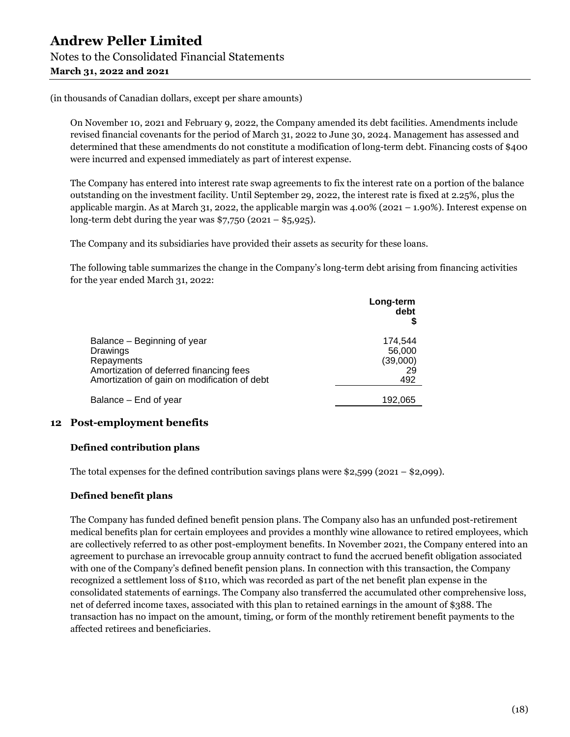On November 10, 2021 and February 9, 2022, the Company amended its debt facilities. Amendments include revised financial covenants for the period of March 31, 2022 to June 30, 2024. Management has assessed and determined that these amendments do not constitute a modification of long-term debt. Financing costs of \$400 were incurred and expensed immediately as part of interest expense.

The Company has entered into interest rate swap agreements to fix the interest rate on a portion of the balance outstanding on the investment facility. Until September 29, 2022, the interest rate is fixed at 2.25%, plus the applicable margin. As at March 31, 2022, the applicable margin was 4.00% (2021 – 1.90%). Interest expense on long-term debt during the year was  $\frac{1}{2}7,750$  (2021 – \$5,925).

The Company and its subsidiaries have provided their assets as security for these loans.

The following table summarizes the change in the Company's long-term debt arising from financing activities for the year ended March 31, 2022:

|                                                                                                                                                  | Long-term<br>debt                          |
|--------------------------------------------------------------------------------------------------------------------------------------------------|--------------------------------------------|
| Balance – Beginning of year<br>Drawings<br>Repayments<br>Amortization of deferred financing fees<br>Amortization of gain on modification of debt | 174,544<br>56,000<br>(39,000)<br>29<br>492 |
| Balance – End of year                                                                                                                            | 192,065                                    |

### **12 Post-employment benefits**

### **Defined contribution plans**

The total expenses for the defined contribution savings plans were  $$2,599$  ( $2021 - $2,099$ ).

### **Defined benefit plans**

The Company has funded defined benefit pension plans. The Company also has an unfunded post-retirement medical benefits plan for certain employees and provides a monthly wine allowance to retired employees, which are collectively referred to as other post-employment benefits. In November 2021, the Company entered into an agreement to purchase an irrevocable group annuity contract to fund the accrued benefit obligation associated with one of the Company's defined benefit pension plans. In connection with this transaction, the Company recognized a settlement loss of \$110, which was recorded as part of the net benefit plan expense in the consolidated statements of earnings. The Company also transferred the accumulated other comprehensive loss, net of deferred income taxes, associated with this plan to retained earnings in the amount of \$388. The transaction has no impact on the amount, timing, or form of the monthly retirement benefit payments to the affected retirees and beneficiaries.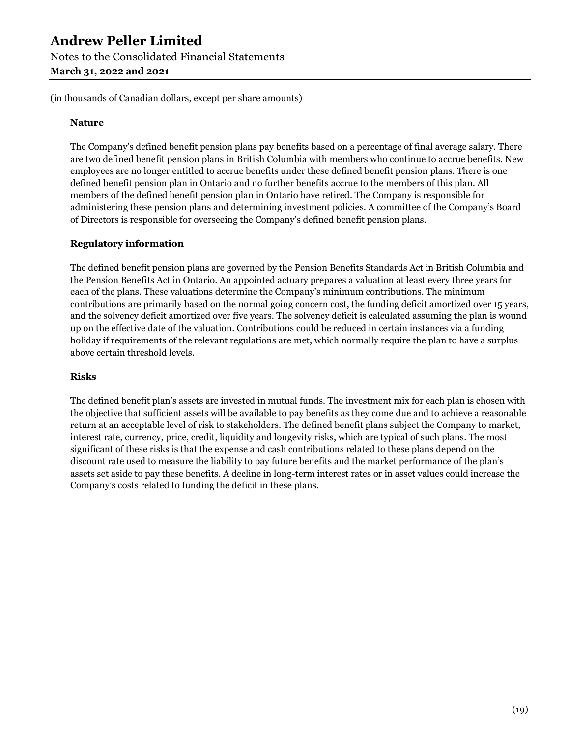### **Andrew Peller Limited**  Notes to the Consolidated Financial Statements **March 31, 2022 and 2021**

(in thousands of Canadian dollars, except per share amounts)

#### **Nature**

The Company's defined benefit pension plans pay benefits based on a percentage of final average salary. There are two defined benefit pension plans in British Columbia with members who continue to accrue benefits. New employees are no longer entitled to accrue benefits under these defined benefit pension plans. There is one defined benefit pension plan in Ontario and no further benefits accrue to the members of this plan. All members of the defined benefit pension plan in Ontario have retired. The Company is responsible for administering these pension plans and determining investment policies. A committee of the Company's Board of Directors is responsible for overseeing the Company's defined benefit pension plans.

### **Regulatory information**

The defined benefit pension plans are governed by the Pension Benefits Standards Act in British Columbia and the Pension Benefits Act in Ontario. An appointed actuary prepares a valuation at least every three years for each of the plans. These valuations determine the Company's minimum contributions. The minimum contributions are primarily based on the normal going concern cost, the funding deficit amortized over 15 years, and the solvency deficit amortized over five years. The solvency deficit is calculated assuming the plan is wound up on the effective date of the valuation. Contributions could be reduced in certain instances via a funding holiday if requirements of the relevant regulations are met, which normally require the plan to have a surplus above certain threshold levels.

### **Risks**

The defined benefit plan's assets are invested in mutual funds. The investment mix for each plan is chosen with the objective that sufficient assets will be available to pay benefits as they come due and to achieve a reasonable return at an acceptable level of risk to stakeholders. The defined benefit plans subject the Company to market, interest rate, currency, price, credit, liquidity and longevity risks, which are typical of such plans. The most significant of these risks is that the expense and cash contributions related to these plans depend on the discount rate used to measure the liability to pay future benefits and the market performance of the plan's assets set aside to pay these benefits. A decline in long-term interest rates or in asset values could increase the Company's costs related to funding the deficit in these plans.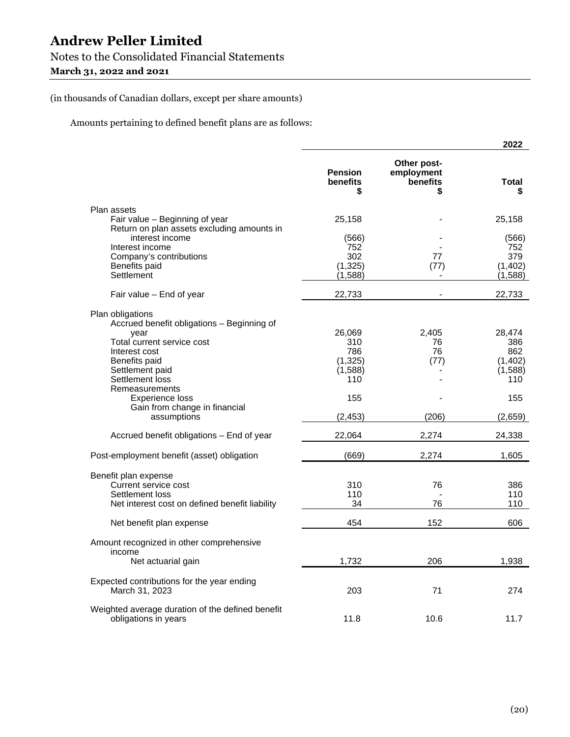Notes to the Consolidated Financial Statements

**March 31, 2022 and 2021** 

(in thousands of Canadian dollars, except per share amounts)

Amounts pertaining to defined benefit plans are as follows:

|                                                                                             |                                  |                                       | 2022                |
|---------------------------------------------------------------------------------------------|----------------------------------|---------------------------------------|---------------------|
|                                                                                             | <b>Pension</b><br>benefits<br>\$ | Other post-<br>employment<br>benefits | <b>Total</b><br>S   |
| Plan assets<br>Fair value - Beginning of year<br>Return on plan assets excluding amounts in | 25,158                           |                                       | 25,158              |
| interest income<br>Interest income<br>Company's contributions                               | (566)<br>752<br>302              | 77                                    | (566)<br>752<br>379 |
| Benefits paid<br>Settlement                                                                 | (1, 325)<br>(1,588)              | (77)                                  | (1, 402)<br>(1,588) |
| Fair value – End of year                                                                    | 22,733                           |                                       | 22,733              |
| Plan obligations<br>Accrued benefit obligations - Beginning of                              |                                  |                                       |                     |
| year                                                                                        | 26,069                           | 2,405                                 | 28,474              |
| Total current service cost                                                                  | 310                              | 76                                    | 386                 |
| Interest cost                                                                               | 786                              | 76                                    | 862                 |
| Benefits paid<br>Settlement paid                                                            | (1, 325)<br>(1,588)              | (77)                                  | (1,402)<br>(1,588)  |
| Settlement loss                                                                             | 110                              |                                       | 110                 |
| Remeasurements                                                                              |                                  |                                       |                     |
| <b>Experience loss</b><br>Gain from change in financial                                     | 155                              |                                       | 155                 |
| assumptions                                                                                 | (2, 453)                         | (206)                                 | (2,659)             |
| Accrued benefit obligations - End of year                                                   | 22,064                           | 2,274                                 | 24,338              |
| Post-employment benefit (asset) obligation                                                  | (669)                            | 2,274                                 | 1,605               |
| Benefit plan expense                                                                        |                                  |                                       |                     |
| Current service cost                                                                        | 310                              | 76                                    | 386                 |
| Settlement loss                                                                             | 110                              |                                       | 110                 |
| Net interest cost on defined benefit liability                                              | 34                               | 76                                    | 110                 |
| Net benefit plan expense                                                                    | 454                              | 152                                   | 606                 |
| Amount recognized in other comprehensive<br>income                                          |                                  |                                       |                     |
| Net actuarial gain                                                                          | 1,732                            | 206                                   | 1,938               |
| Expected contributions for the year ending<br>March 31, 2023                                | 203                              | 71                                    | 274                 |
| Weighted average duration of the defined benefit<br>obligations in years                    | 11.8                             | 10.6                                  | 11.7                |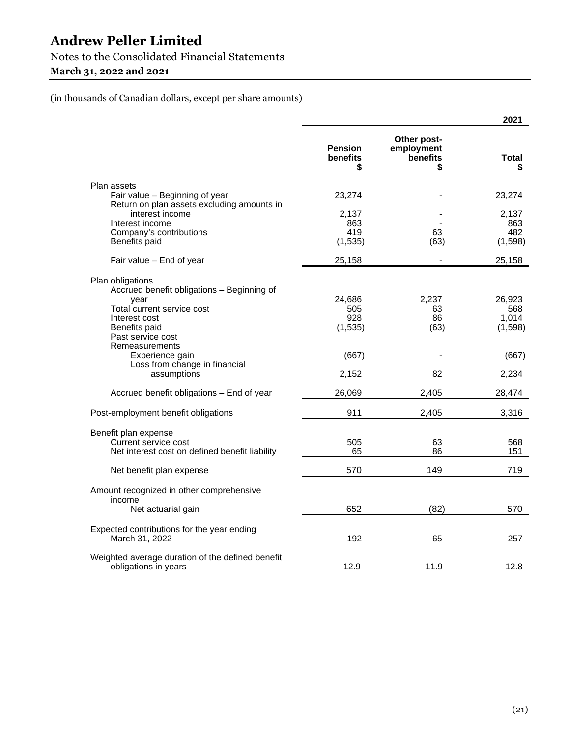### Notes to the Consolidated Financial Statements

### **March 31, 2022 and 2021**

### (in thousands of Canadian dollars, except per share amounts)

|                                                               |                                         |                                             | 2021        |
|---------------------------------------------------------------|-----------------------------------------|---------------------------------------------|-------------|
|                                                               | <b>Pension</b><br><b>benefits</b><br>\$ | Other post-<br>employment<br>benefits<br>\$ | Total<br>\$ |
| Plan assets                                                   |                                         |                                             |             |
| Fair value - Beginning of year                                | 23,274                                  |                                             | 23,274      |
| Return on plan assets excluding amounts in<br>interest income | 2,137                                   |                                             | 2,137       |
| Interest income                                               | 863                                     |                                             | 863         |
| Company's contributions                                       | 419                                     | 63                                          | 482         |
| Benefits paid                                                 | (1,535)                                 | (63)                                        | (1,598)     |
| Fair value - End of year                                      | 25,158                                  | $\overline{a}$                              | 25,158      |
| Plan obligations                                              |                                         |                                             |             |
| Accrued benefit obligations - Beginning of                    | 24,686                                  | 2,237                                       | 26,923      |
| year<br>Total current service cost                            | 505                                     | 63                                          | 568         |
| Interest cost                                                 | 928                                     | 86                                          | 1,014       |
| Benefits paid                                                 | (1,535)                                 | (63)                                        | (1,598)     |
| Past service cost                                             |                                         |                                             |             |
| Remeasurements                                                |                                         |                                             |             |
| Experience gain<br>Loss from change in financial              | (667)                                   |                                             | (667)       |
| assumptions                                                   | 2,152                                   | 82                                          | 2,234       |
| Accrued benefit obligations - End of year                     | 26,069                                  | 2,405                                       | 28,474      |
| Post-employment benefit obligations                           | 911                                     | 2,405                                       | 3,316       |
|                                                               |                                         |                                             |             |
| Benefit plan expense<br>Current service cost                  | 505                                     | 63                                          | 568         |
| Net interest cost on defined benefit liability                | 65                                      | 86                                          | 151         |
| Net benefit plan expense                                      | 570                                     | 149                                         | 719         |
| Amount recognized in other comprehensive                      |                                         |                                             |             |
| income                                                        | 652                                     | (82)                                        | 570         |
| Net actuarial gain                                            |                                         |                                             |             |
| Expected contributions for the year ending<br>March 31, 2022  | 192                                     | 65                                          | 257         |
| Weighted average duration of the defined benefit              |                                         |                                             |             |
| obligations in years                                          | 12.9                                    | 11.9                                        | 12.8        |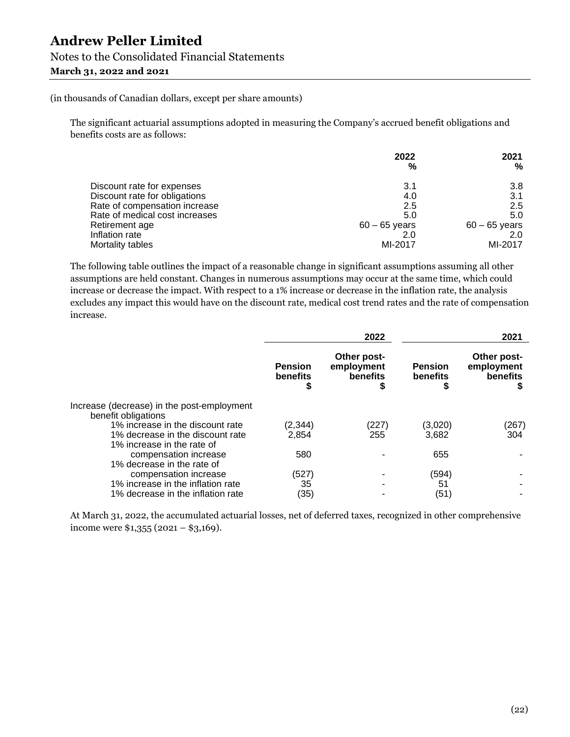The significant actuarial assumptions adopted in measuring the Company's accrued benefit obligations and benefits costs are as follows:

|                                | 2022<br>%       | 2021<br>%       |
|--------------------------------|-----------------|-----------------|
| Discount rate for expenses     | 3.1             | 3.8             |
| Discount rate for obligations  | 4.0             | 3.1             |
| Rate of compensation increase  | 2.5             | 2.5             |
| Rate of medical cost increases | 5.0             | 5.0             |
| Retirement age                 | $60 - 65$ years | $60 - 65$ years |
| Inflation rate                 | 2.0             | 2.0             |
| Mortality tables               | MI-2017         | MI-2017         |

The following table outlines the impact of a reasonable change in significant assumptions assuming all other assumptions are held constant. Changes in numerous assumptions may occur at the same time, which could increase or decrease the impact. With respect to a 1% increase or decrease in the inflation rate, the analysis excludes any impact this would have on the discount rate, medical cost trend rates and the rate of compensation increase.

|                                                                   |                                  | 2022                                              |                            | 2021                                         |
|-------------------------------------------------------------------|----------------------------------|---------------------------------------------------|----------------------------|----------------------------------------------|
|                                                                   | <b>Pension</b><br>benefits<br>\$ | <b>Other post-</b><br>employment<br>benefits<br>æ | <b>Pension</b><br>benefits | <b>Other post-</b><br>employment<br>benefits |
| Increase (decrease) in the post-employment<br>benefit obligations |                                  |                                                   |                            |                                              |
| 1% increase in the discount rate                                  | (2,344)                          | (227)                                             | (3,020)                    | (267)                                        |
| 1% decrease in the discount rate<br>1% increase in the rate of    | 2,854                            | 255                                               | 3,682                      | 304                                          |
| compensation increase<br>1% decrease in the rate of               | 580                              |                                                   | 655                        |                                              |
| compensation increase                                             | (527)                            |                                                   | (594)                      |                                              |
| 1% increase in the inflation rate                                 | 35                               |                                                   | .51                        |                                              |
| 1% decrease in the inflation rate                                 | (35)                             |                                                   | (51)                       |                                              |

At March 31, 2022, the accumulated actuarial losses, net of deferred taxes, recognized in other comprehensive income were \$1,355 (2021 – \$3,169).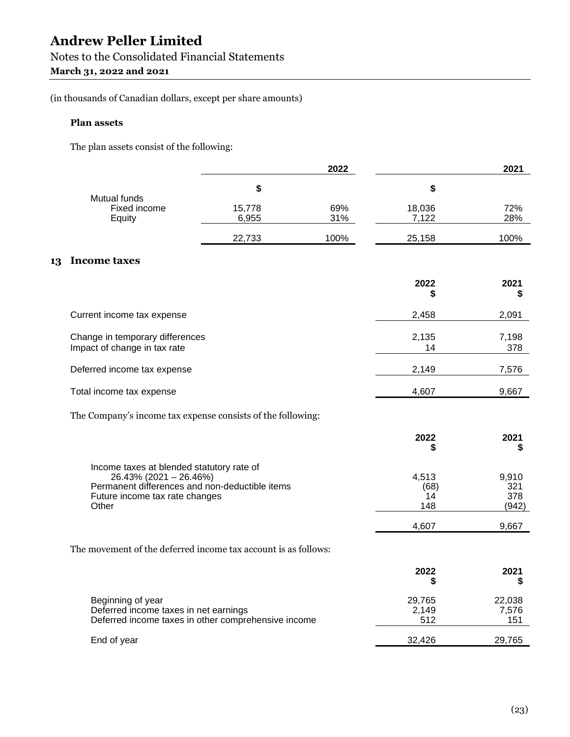## **Andrew Peller Limited**  Notes to the Consolidated Financial Statements

### **March 31, 2022 and 2021**

(in thousands of Canadian dollars, except per share amounts)

#### **Plan assets**

The plan assets consist of the following:

|    |                                                                |        | 2022 |           | 2021         |
|----|----------------------------------------------------------------|--------|------|-----------|--------------|
|    |                                                                | \$     |      | \$        |              |
|    | Mutual funds                                                   |        |      |           |              |
|    | Fixed income                                                   | 15,778 | 69%  | 18,036    | 72%          |
|    | Equity                                                         | 6,955  | 31%  | 7,122     | 28%          |
|    |                                                                | 22,733 | 100% | 25,158    | 100%         |
| 13 | <b>Income taxes</b>                                            |        |      |           |              |
|    |                                                                |        |      | 2022      | 2021         |
|    |                                                                |        |      | \$        | \$           |
|    | Current income tax expense                                     |        |      | 2,458     | 2,091        |
|    | Change in temporary differences                                |        |      | 2,135     | 7,198        |
|    | Impact of change in tax rate                                   |        |      | 14        | 378          |
|    | Deferred income tax expense                                    |        |      | 2,149     | 7,576        |
|    | Total income tax expense                                       |        |      | 4,607     | 9,667        |
|    | The Company's income tax expense consists of the following:    |        |      |           |              |
|    |                                                                |        |      | 2022<br>S | 2021<br>S    |
|    | Income taxes at blended statutory rate of                      |        |      |           |              |
|    | $26.43\%$ (2021 - 26.46%)                                      |        |      | 4,513     | 9,910        |
|    | Permanent differences and non-deductible items                 |        |      | (68)      | 321          |
|    | Future income tax rate changes<br>Other                        |        |      | 14<br>148 | 378<br>(942) |
|    |                                                                |        |      | 4,607     | 9,667        |
|    |                                                                |        |      |           |              |
|    | The movement of the deferred income tax account is as follows: |        |      |           |              |
|    |                                                                |        |      | 2022<br>P | 2021<br>\$   |
|    | Beginning of year                                              |        |      | 29,765    | 22,038       |
|    | Deferred income taxes in net earnings                          |        |      | 2,149     | 7,576        |
|    | Deferred income taxes in other comprehensive income            |        |      | 512       | 151          |
|    | End of year                                                    |        |      | 32,426    | 29,765       |
|    |                                                                |        |      |           |              |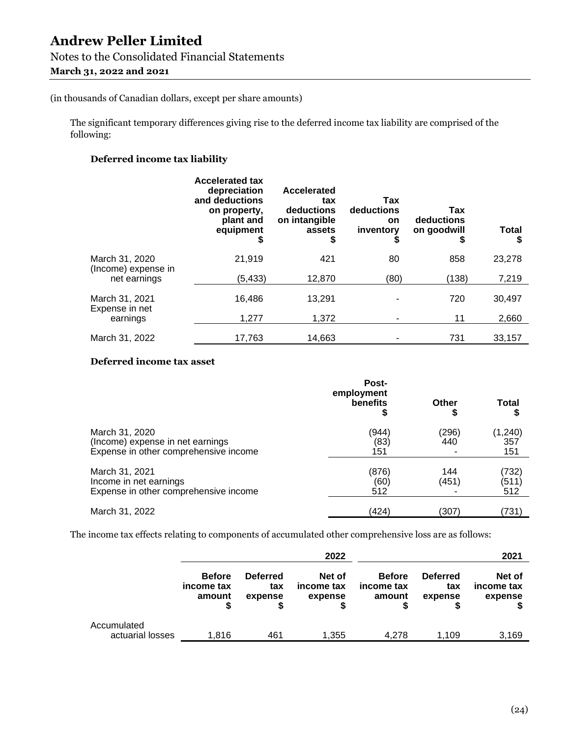The significant temporary differences giving rise to the deferred income tax liability are comprised of the following:

### **Deferred income tax liability**

|                                       | <b>Accelerated tax</b><br>depreciation<br>and deductions<br>on property,<br>plant and<br>equipment<br>\$ | Accelerated<br>tax<br>deductions<br>on intangible<br>assets<br>\$ | Tax<br>deductions<br>on<br>inventory<br>P | Tax<br>deductions<br>on goodwill<br>\$ | <b>Total</b><br>S |
|---------------------------------------|----------------------------------------------------------------------------------------------------------|-------------------------------------------------------------------|-------------------------------------------|----------------------------------------|-------------------|
| March 31, 2020<br>(Income) expense in | 21,919                                                                                                   | 421                                                               | 80                                        | 858                                    | 23,278            |
| net earnings                          | (5, 433)                                                                                                 | 12,870                                                            | (80)                                      | (138)                                  | 7,219             |
| March 31, 2021<br>Expense in net      | 16,486                                                                                                   | 13.291                                                            |                                           | 720                                    | 30,497            |
| earnings                              | 1,277                                                                                                    | 1,372                                                             |                                           | 11                                     | 2,660             |
| March 31, 2022                        | 17,763                                                                                                   | 14,663                                                            |                                           | 731                                    | 33,157            |

### **Deferred income tax asset**

|                                                                                             | Post-<br>employment<br>benefits | Other        | <b>Total</b>           |
|---------------------------------------------------------------------------------------------|---------------------------------|--------------|------------------------|
| March 31, 2020<br>(Income) expense in net earnings<br>Expense in other comprehensive income | (944)<br>(83)<br>151            | (296)<br>440 | (1, 240)<br>357<br>151 |
| March 31, 2021<br>Income in net earnings<br>Expense in other comprehensive income           | (876)<br>(60)<br>512            | 144<br>(451) | (732)<br>(511)<br>512  |
| March 31, 2022                                                                              | (424)                           | (307)        | (731)                  |

The income tax effects relating to components of accumulated other comprehensive loss are as follows:

|                                 | 2022                                  |                                   |                                 |                                       |                                   | 2021                            |
|---------------------------------|---------------------------------------|-----------------------------------|---------------------------------|---------------------------------------|-----------------------------------|---------------------------------|
|                                 | <b>Before</b><br>income tax<br>amount | <b>Deferred</b><br>tax<br>expense | Net of<br>income tax<br>expense | <b>Before</b><br>income tax<br>amount | <b>Deferred</b><br>tax<br>expense | Net of<br>income tax<br>expense |
| Accumulated<br>actuarial losses | 1,816                                 | 461                               | 1,355                           | 4.278                                 | 1.109                             | 3,169                           |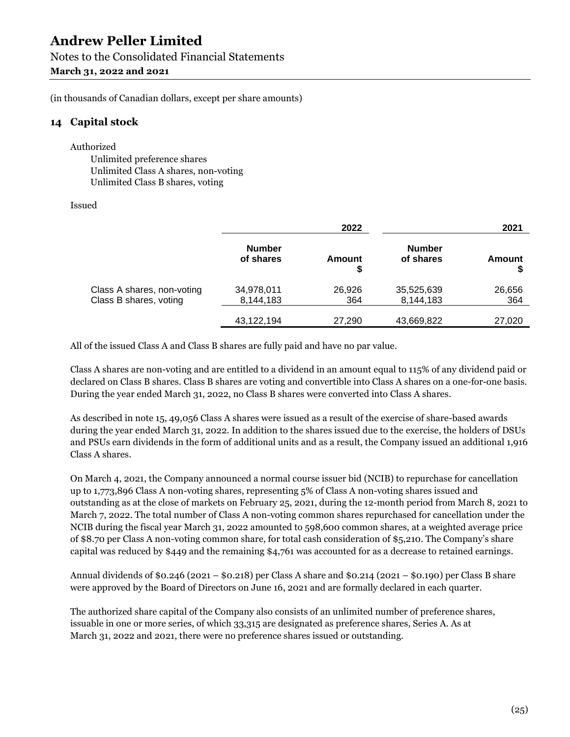### **Andrew Peller Limited**  Notes to the Consolidated Financial Statements **March 31, 2022 and 2021**

(in thousands of Canadian dollars, except per share amounts)

### **14 Capital stock**

#### Authorized

Unlimited preference shares Unlimited Class A shares, non-voting Unlimited Class B shares, voting

#### Issued

|                                                      |                            | 2022          |                            | 2021          |
|------------------------------------------------------|----------------------------|---------------|----------------------------|---------------|
|                                                      | <b>Number</b><br>of shares | Amount<br>\$  | <b>Number</b><br>of shares | Amount        |
| Class A shares, non-voting<br>Class B shares, voting | 34,978,011<br>8,144,183    | 26,926<br>364 | 35,525,639<br>8,144,183    | 26,656<br>364 |
|                                                      | 43,122,194                 | 27,290        | 43,669,822                 | 27,020        |

All of the issued Class A and Class B shares are fully paid and have no par value.

Class A shares are non-voting and are entitled to a dividend in an amount equal to 115% of any dividend paid or declared on Class B shares. Class B shares are voting and convertible into Class A shares on a one-for-one basis. During the year ended March 31, 2022, no Class B shares were converted into Class A shares.

As described in note 15, 49,056 Class A shares were issued as a result of the exercise of share-based awards during the year ended March 31, 2022. In addition to the shares issued due to the exercise, the holders of DSUs and PSUs earn dividends in the form of additional units and as a result, the Company issued an additional 1,916 Class A shares.

On March 4, 2021, the Company announced a normal course issuer bid (NCIB) to repurchase for cancellation up to 1,773,896 Class A non-voting shares, representing 5% of Class A non-voting shares issued and outstanding as at the close of markets on February 25, 2021, during the 12-month period from March 8, 2021 to March 7, 2022. The total number of Class A non-voting common shares repurchased for cancellation under the NCIB during the fiscal year March 31, 2022 amounted to 598,600 common shares, at a weighted average price of \$8.70 per Class A non-voting common share, for total cash consideration of \$5,210. The Company's share capital was reduced by \$449 and the remaining \$4,761 was accounted for as a decrease to retained earnings.

Annual dividends of \$0.246 (2021 – \$0.218) per Class A share and \$0.214 (2021 – \$0.190) per Class B share were approved by the Board of Directors on June 16, 2021 and are formally declared in each quarter.

The authorized share capital of the Company also consists of an unlimited number of preference shares, issuable in one or more series, of which 33,315 are designated as preference shares, Series A. As at March 31, 2022 and 2021, there were no preference shares issued or outstanding.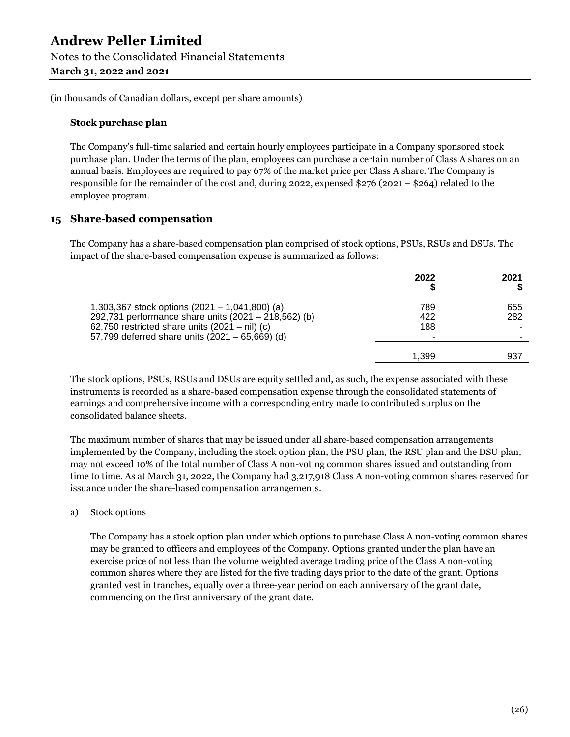#### **Stock purchase plan**

The Company's full-time salaried and certain hourly employees participate in a Company sponsored stock purchase plan. Under the terms of the plan, employees can purchase a certain number of Class A shares on an annual basis. Employees are required to pay 67% of the market price per Class A share. The Company is responsible for the remainder of the cost and, during 2022, expensed \$276 (2021 – \$264) related to the employee program.

### **15 Share-based compensation**

The Company has a share-based compensation plan comprised of stock options, PSUs, RSUs and DSUs. The impact of the share-based compensation expense is summarized as follows:

|                                                                                                                                                                                                                          | 2022              | 2021       |
|--------------------------------------------------------------------------------------------------------------------------------------------------------------------------------------------------------------------------|-------------------|------------|
| 1,303,367 stock options $(2021 - 1,041,800)$ (a)<br>292,731 performance share units (2021 - 218,562) (b)<br>62,750 restricted share units $(2021 - \text{nil})$ (c)<br>57,799 deferred share units $(2021 - 65,669)$ (d) | 789<br>422<br>188 | 655<br>282 |
|                                                                                                                                                                                                                          | 1.399             | 937        |

The stock options, PSUs, RSUs and DSUs are equity settled and, as such, the expense associated with these instruments is recorded as a share-based compensation expense through the consolidated statements of earnings and comprehensive income with a corresponding entry made to contributed surplus on the consolidated balance sheets.

The maximum number of shares that may be issued under all share-based compensation arrangements implemented by the Company, including the stock option plan, the PSU plan, the RSU plan and the DSU plan, may not exceed 10% of the total number of Class A non-voting common shares issued and outstanding from time to time. As at March 31, 2022, the Company had 3,217,918 Class A non-voting common shares reserved for issuance under the share-based compensation arrangements.

### a) Stock options

The Company has a stock option plan under which options to purchase Class A non-voting common shares may be granted to officers and employees of the Company. Options granted under the plan have an exercise price of not less than the volume weighted average trading price of the Class A non-voting common shares where they are listed for the five trading days prior to the date of the grant. Options granted vest in tranches, equally over a three-year period on each anniversary of the grant date, commencing on the first anniversary of the grant date.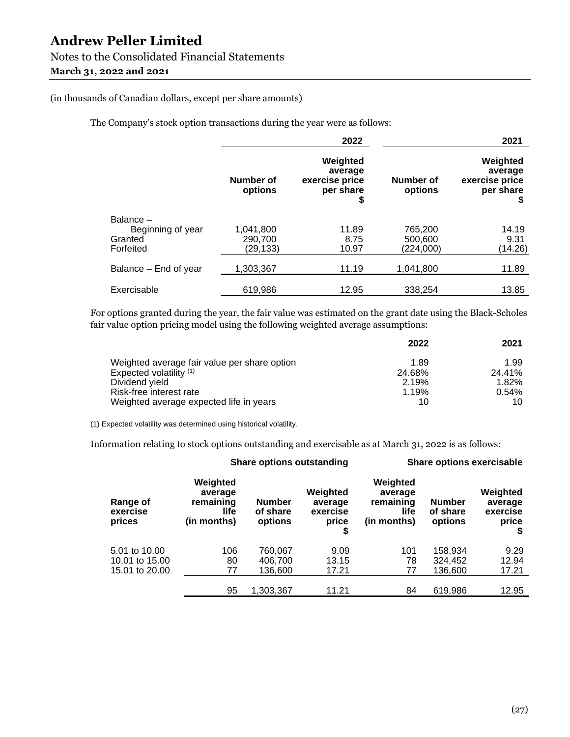### **Andrew Peller Limited**  Notes to the Consolidated Financial Statements **March 31, 2022 and 2021**

(in thousands of Canadian dollars, except per share amounts)

The Company's stock option transactions during the year were as follows:

| 2021                                                                             |
|----------------------------------------------------------------------------------|
| Weighted<br>average<br>Number of<br>exercise price<br>options<br>per share<br>\$ |
|                                                                                  |
| 14.19<br>765.200                                                                 |
| 500,600<br>9.31                                                                  |
| (14.26)<br>(224.000)                                                             |
|                                                                                  |
| 11.89<br>1,041,800                                                               |
|                                                                                  |
| 338,254<br>13.85                                                                 |
|                                                                                  |

For options granted during the year, the fair value was estimated on the grant date using the Black-Scholes fair value option pricing model using the following weighted average assumptions:

|                                              | 2022   | 2021   |
|----------------------------------------------|--------|--------|
| Weighted average fair value per share option | 1.89   | 1.99   |
| Expected volatility (1)                      | 24.68% | 24.41% |
| Dividend yield                               | 2.19%  | 1.82%  |
| Risk-free interest rate                      | 1.19%  | 0.54%  |
| Weighted average expected life in years      | 10     | 10     |

(1) Expected volatility was determined using historical volatility.

Information relating to stock options outstanding and exercisable as at March 31, 2022 is as follows:

|                                                   |                                                         | <b>Share options outstanding</b>     |                                                |                                                         | <b>Share options exercisable</b>     |                                          |  |
|---------------------------------------------------|---------------------------------------------------------|--------------------------------------|------------------------------------------------|---------------------------------------------------------|--------------------------------------|------------------------------------------|--|
| Range of<br>exercise<br>prices                    | Weighted<br>average<br>remaining<br>life<br>(in months) | <b>Number</b><br>of share<br>options | Weighted<br>average<br>exercise<br>price<br>\$ | Weighted<br>average<br>remaining<br>life<br>(in months) | <b>Number</b><br>of share<br>options | Weighted<br>average<br>exercise<br>price |  |
| 5.01 to 10.00<br>10.01 to 15.00<br>15.01 to 20.00 | 106<br>80<br>77                                         | 760,067<br>406,700<br>136,600        | 9.09<br>13.15<br>17.21                         | 101<br>78<br>77                                         | 158,934<br>324,452<br>136,600        | 9.29<br>12.94<br>17.21                   |  |
|                                                   | 95                                                      | 1,303,367                            | 11.21                                          | 84                                                      | 619,986                              | 12.95                                    |  |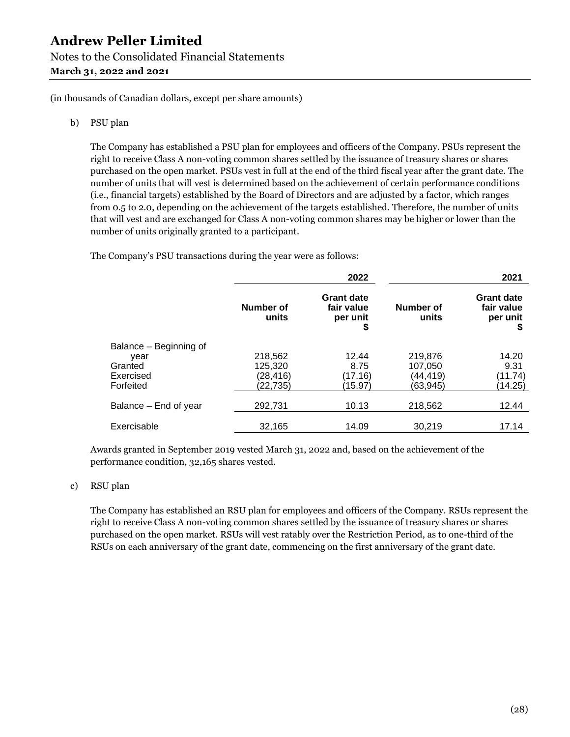b) PSU plan

The Company has established a PSU plan for employees and officers of the Company. PSUs represent the right to receive Class A non-voting common shares settled by the issuance of treasury shares or shares purchased on the open market. PSUs vest in full at the end of the third fiscal year after the grant date. The number of units that will vest is determined based on the achievement of certain performance conditions (i.e., financial targets) established by the Board of Directors and are adjusted by a factor, which ranges from 0.5 to 2.0, depending on the achievement of the targets established. Therefore, the number of units that will vest and are exchanged for Class A non-voting common shares may be higher or lower than the number of units originally granted to a participant.

The Company's PSU transactions during the year were as follows:

|                                                                     |                                             | 2022                                               |                                            | 2021                                             |  |
|---------------------------------------------------------------------|---------------------------------------------|----------------------------------------------------|--------------------------------------------|--------------------------------------------------|--|
|                                                                     | Number of<br>units                          | <b>Grant date</b><br>fair value<br>per unit<br>\$  | Number of<br>units                         | <b>Grant date</b><br>fair value<br>per unit<br>S |  |
| Balance – Beginning of<br>year<br>Granted<br>Exercised<br>Forfeited | 218,562<br>125,320<br>(28, 416)<br>(22,735) | 12.44<br>8.75<br>(17.16)<br>$\langle 15.97\rangle$ | 219,876<br>107,050<br>(44,419)<br>(63,945) | 14.20<br>9.31<br>(11.74)<br>(14.25)              |  |
| Balance – End of year                                               | 292,731                                     | 10.13                                              | 218,562                                    | 12.44                                            |  |
| Exercisable                                                         | 32,165                                      | 14.09                                              | 30,219                                     | 17.14                                            |  |

Awards granted in September 2019 vested March 31, 2022 and, based on the achievement of the performance condition, 32,165 shares vested.

### c) RSU plan

The Company has established an RSU plan for employees and officers of the Company. RSUs represent the right to receive Class A non-voting common shares settled by the issuance of treasury shares or shares purchased on the open market. RSUs will vest ratably over the Restriction Period, as to one-third of the RSUs on each anniversary of the grant date, commencing on the first anniversary of the grant date.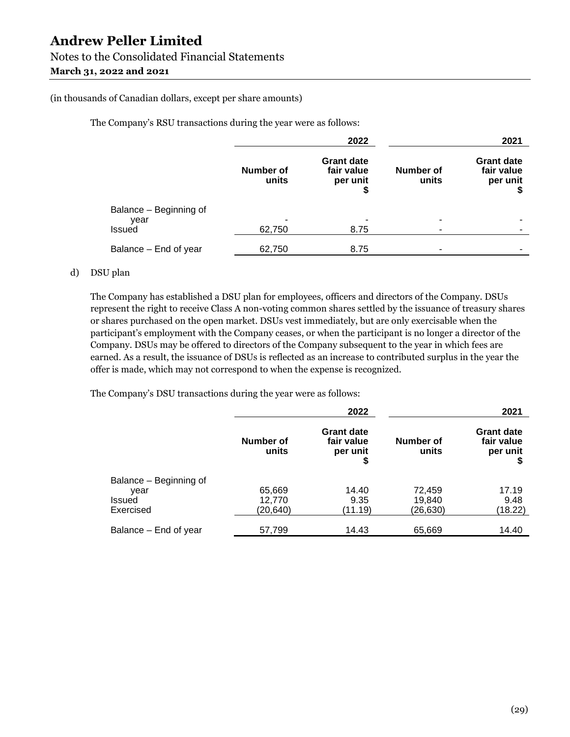## **Andrew Peller Limited**  Notes to the Consolidated Financial Statements

## **March 31, 2022 and 2021**

(in thousands of Canadian dollars, except per share amounts)

The Company's RSU transactions during the year were as follows:

|                        |                           | 2022                                              |                           | 2021                                        |
|------------------------|---------------------------|---------------------------------------------------|---------------------------|---------------------------------------------|
|                        | <b>Number of</b><br>units | <b>Grant date</b><br>fair value<br>per unit<br>\$ | <b>Number of</b><br>units | <b>Grant date</b><br>fair value<br>per unit |
| Balance - Beginning of |                           |                                                   |                           |                                             |
| year                   |                           |                                                   |                           |                                             |
| <b>Issued</b>          | 62,750                    | 8.75                                              |                           |                                             |
|                        |                           |                                                   |                           |                                             |
| Balance - End of year  | 62,750                    | 8.75                                              |                           |                                             |

#### d) DSU plan

The Company has established a DSU plan for employees, officers and directors of the Company. DSUs represent the right to receive Class A non-voting common shares settled by the issuance of treasury shares or shares purchased on the open market. DSUs vest immediately, but are only exercisable when the participant's employment with the Company ceases, or when the participant is no longer a director of the Company. DSUs may be offered to directors of the Company subsequent to the year in which fees are earned. As a result, the issuance of DSUs is reflected as an increase to contributed surplus in the year the offer is made, which may not correspond to when the expense is recognized.

The Company's DSU transactions during the year were as follows:

|                        |                    | 2022                                              |                    | 2021                                        |
|------------------------|--------------------|---------------------------------------------------|--------------------|---------------------------------------------|
|                        | Number of<br>units | <b>Grant date</b><br>fair value<br>per unit<br>\$ | Number of<br>units | <b>Grant date</b><br>fair value<br>per unit |
| Balance – Beginning of |                    |                                                   |                    |                                             |
| year                   | 65,669             | 14.40                                             | 72,459             | 17.19                                       |
| Issued                 | 12.770             | 9.35                                              | 19,840             | 9.48                                        |
| Exercised              | (20,640)           | (11.19)                                           | (26,630)           | (18.22)                                     |
| Balance – End of year  | 57,799             | 14.43                                             | 65,669             | 14.40                                       |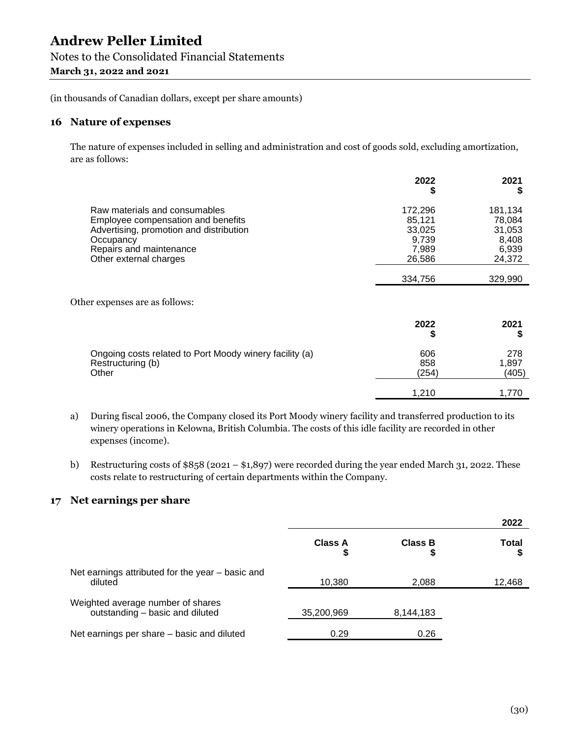### **Andrew Peller Limited**  Notes to the Consolidated Financial Statements **March 31, 2022 and 2021**

(in thousands of Canadian dollars, except per share amounts)

### **16 Nature of expenses**

The nature of expenses included in selling and administration and cost of goods sold, excluding amortization, are as follows:

|                                                         | 2022<br>S | 2021<br>S |
|---------------------------------------------------------|-----------|-----------|
| Raw materials and consumables                           | 172,296   | 181,134   |
| Employee compensation and benefits                      | 85,121    | 78,084    |
| Advertising, promotion and distribution                 | 33,025    | 31,053    |
| Occupancy                                               | 9,739     | 8,408     |
| Repairs and maintenance                                 | 7,989     | 6,939     |
| Other external charges                                  | 26,586    | 24,372    |
|                                                         | 334,756   | 329,990   |
| Other expenses are as follows:                          |           |           |
|                                                         | 2022<br>S | 2021<br>S |
| Ongoing costs related to Port Moody winery facility (a) | 606       | 278       |
| Restructuring (b)                                       | 858       | 1,897     |
| Other                                                   | (254)     | (405)     |
|                                                         | 1,210     | 1,770     |
|                                                         |           |           |

a) During fiscal 2006, the Company closed its Port Moody winery facility and transferred production to its winery operations in Kelowna, British Columbia. The costs of this idle facility are recorded in other expenses (income).

b) Restructuring costs of \$858 (2021 – \$1,897) were recorded during the year ended March 31, 2022. These costs relate to restructuring of certain departments within the Company.

### **17 Net earnings per share**

|                                                                      |                     |                | 2022   |
|----------------------------------------------------------------------|---------------------|----------------|--------|
|                                                                      | <b>Class A</b><br>J | <b>Class B</b> | Total  |
| Net earnings attributed for the year – basic and<br>diluted          | 10,380              | 2,088          | 12,468 |
| Weighted average number of shares<br>outstanding - basic and diluted | 35,200,969          | 8,144,183      |        |
| Net earnings per share – basic and diluted                           | 0.29                | 0.26           |        |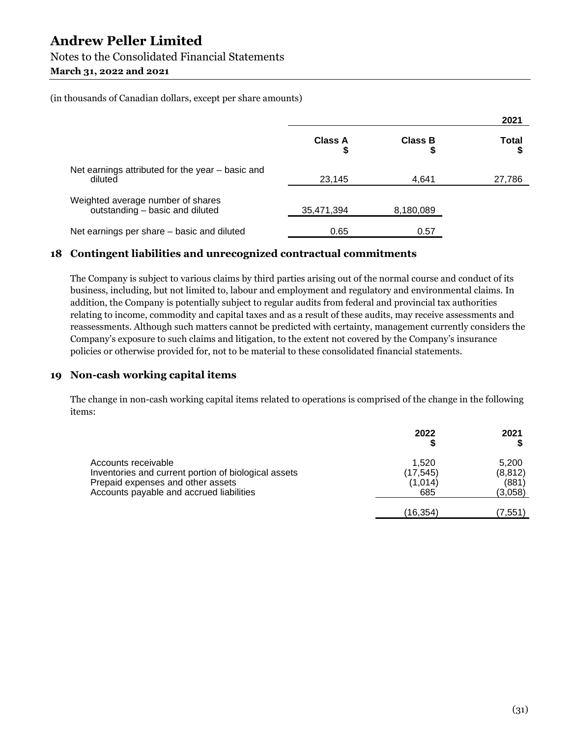## Notes to the Consolidated Financial Statements

### **March 31, 2022 and 2021**

(in thousands of Canadian dollars, except per share amounts)

|                                                                      |                |                | 2021   |
|----------------------------------------------------------------------|----------------|----------------|--------|
|                                                                      | <b>Class A</b> | <b>Class B</b> | Total  |
| Net earnings attributed for the year – basic and<br>diluted          | 23,145         | 4.641          | 27,786 |
| Weighted average number of shares<br>outstanding - basic and diluted | 35,471,394     | 8,180,089      |        |
| Net earnings per share - basic and diluted                           | 0.65           | 0.57           |        |

### **18 Contingent liabilities and unrecognized contractual commitments**

The Company is subject to various claims by third parties arising out of the normal course and conduct of its business, including, but not limited to, labour and employment and regulatory and environmental claims. In addition, the Company is potentially subject to regular audits from federal and provincial tax authorities relating to income, commodity and capital taxes and as a result of these audits, may receive assessments and reassessments. Although such matters cannot be predicted with certainty, management currently considers the Company's exposure to such claims and litigation, to the extent not covered by the Company's insurance policies or otherwise provided for, not to be material to these consolidated financial statements.

### **19 Non-cash working capital items**

The change in non-cash working capital items related to operations is comprised of the change in the following items:

|                                                      | 2022      | 2021     |
|------------------------------------------------------|-----------|----------|
| Accounts receivable                                  | 1.520     | 5.200    |
| Inventories and current portion of biological assets | (17, 545) | (8, 812) |
| Prepaid expenses and other assets                    | (1,014)   | (881)    |
| Accounts payable and accrued liabilities             | 685       | (3,058)  |
|                                                      | (16,354)  | (7,551)  |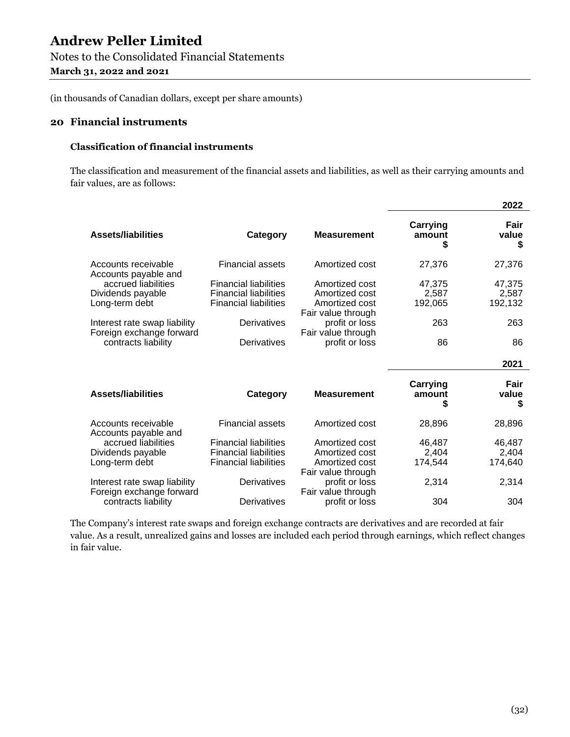### **Andrew Peller Limited**  Notes to the Consolidated Financial Statements **March 31, 2022 and 2021**

(in thousands of Canadian dollars, except per share amounts)

### **20 Financial instruments**

### **Classification of financial instruments**

The classification and measurement of the financial assets and liabilities, as well as their carrying amounts and fair values, are as follows:

|                                                                                    |                                                                                              |                                                                              |                                | 2022                       |
|------------------------------------------------------------------------------------|----------------------------------------------------------------------------------------------|------------------------------------------------------------------------------|--------------------------------|----------------------------|
| <b>Assets/liabilities</b>                                                          | Category                                                                                     | <b>Measurement</b>                                                           | <b>Carrying</b><br>amount      | Fair<br>value<br>S         |
| Accounts receivable                                                                | <b>Financial assets</b>                                                                      | Amortized cost                                                               | 27,376                         | 27,376                     |
| Accounts payable and<br>accrued liabilities<br>Dividends payable<br>Long-term debt | <b>Financial liabilities</b><br><b>Financial liabilities</b><br><b>Financial liabilities</b> | Amortized cost<br>Amortized cost<br>Amortized cost<br>Fair value through     | 47,375<br>2,587<br>192,065     | 47,375<br>2,587<br>192,132 |
| Interest rate swap liability<br>Foreign exchange forward<br>contracts liability    | Derivatives<br>Derivatives                                                                   | profit or loss<br>Fair value through<br>profit or loss                       | 263<br>86                      | 263<br>86                  |
|                                                                                    |                                                                                              |                                                                              |                                |                            |
|                                                                                    |                                                                                              |                                                                              |                                | 2021                       |
| <b>Assets/liabilities</b>                                                          | Category                                                                                     | <b>Measurement</b>                                                           | <b>Carrying</b><br>amount<br>S | Fair<br>value<br>\$        |
| Accounts receivable                                                                | <b>Financial assets</b>                                                                      | Amortized cost                                                               | 28,896                         | 28,896                     |
| Accounts payable and<br>accrued liabilities<br>Dividends payable<br>Long-term debt | <b>Financial liabilities</b><br><b>Financial liabilities</b><br><b>Financial liabilities</b> | Amortized cost<br>Amortized cost<br>Amortized cost                           | 46,487<br>2,404<br>174,544     | 46,487<br>2,404<br>174,640 |
| Interest rate swap liability<br>Foreign exchange forward<br>contracts liability    | Derivatives<br>Derivatives                                                                   | Fair value through<br>profit or loss<br>Fair value through<br>profit or loss | 2,314<br>304                   | 2,314<br>304               |

The Company's interest rate swaps and foreign exchange contracts are derivatives and are recorded at fair value. As a result, unrealized gains and losses are included each period through earnings, which reflect changes in fair value.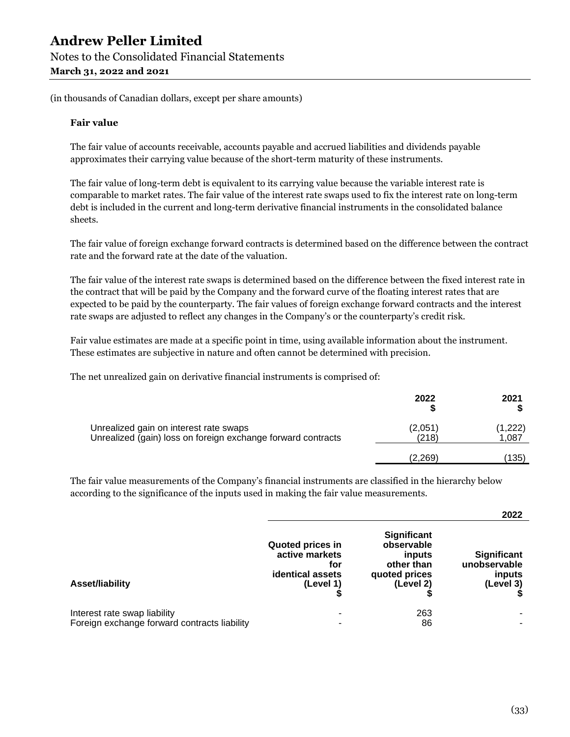#### **Fair value**

The fair value of accounts receivable, accounts payable and accrued liabilities and dividends payable approximates their carrying value because of the short-term maturity of these instruments.

The fair value of long-term debt is equivalent to its carrying value because the variable interest rate is comparable to market rates. The fair value of the interest rate swaps used to fix the interest rate on long-term debt is included in the current and long-term derivative financial instruments in the consolidated balance sheets.

The fair value of foreign exchange forward contracts is determined based on the difference between the contract rate and the forward rate at the date of the valuation.

The fair value of the interest rate swaps is determined based on the difference between the fixed interest rate in the contract that will be paid by the Company and the forward curve of the floating interest rates that are expected to be paid by the counterparty. The fair values of foreign exchange forward contracts and the interest rate swaps are adjusted to reflect any changes in the Company's or the counterparty's credit risk.

Fair value estimates are made at a specific point in time, using available information about the instrument. These estimates are subjective in nature and often cannot be determined with precision.

The net unrealized gain on derivative financial instruments is comprised of:

|                                                                                                        | 2022             | 2021             |
|--------------------------------------------------------------------------------------------------------|------------------|------------------|
| Unrealized gain on interest rate swaps<br>Unrealized (gain) loss on foreign exchange forward contracts | (2,051)<br>(218) | (1,222)<br>1,087 |
|                                                                                                        | (2.269)          | (135)            |

The fair value measurements of the Company's financial instruments are classified in the hierarchy below according to the significance of the inputs used in making the fair value measurements.

|                                              |                                                                                   |                                                                                        | 2022                                               |
|----------------------------------------------|-----------------------------------------------------------------------------------|----------------------------------------------------------------------------------------|----------------------------------------------------|
| <b>Asset/liability</b>                       | <b>Quoted prices in</b><br>active markets<br>for<br>identical assets<br>(Level 1) | <b>Significant</b><br>observable<br>inputs<br>other than<br>quoted prices<br>(Level 2) | Significant<br>unobservable<br>inputs<br>(Level 3) |
| Interest rate swap liability                 |                                                                                   | 263                                                                                    |                                                    |
| Foreign exchange forward contracts liability | ۰                                                                                 | 86                                                                                     |                                                    |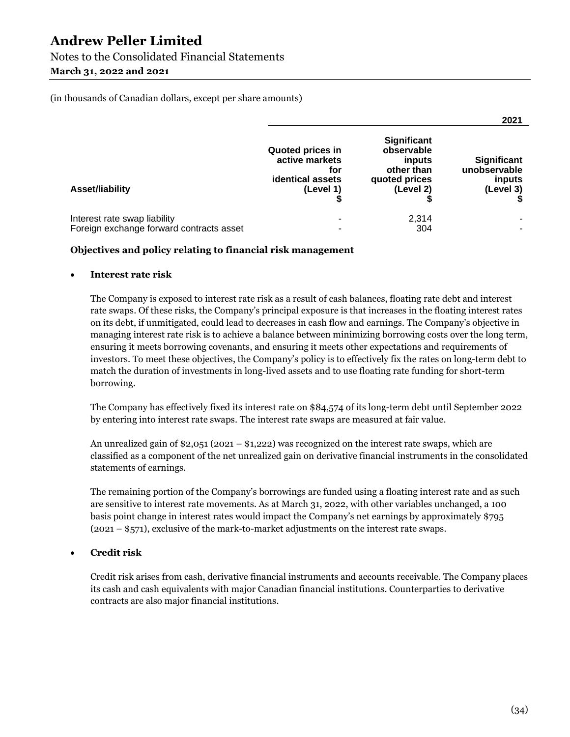## Notes to the Consolidated Financial Statements

### **March 31, 2022 and 2021**

(in thousands of Canadian dollars, except per share amounts)

|                                          |                                                                                   |                                                                                        | 2021                                                      |
|------------------------------------------|-----------------------------------------------------------------------------------|----------------------------------------------------------------------------------------|-----------------------------------------------------------|
| <b>Asset/liability</b>                   | <b>Quoted prices in</b><br>active markets<br>for<br>identical assets<br>(Level 1) | <b>Significant</b><br>observable<br>inputs<br>other than<br>quoted prices<br>(Level 2) | <b>Significant</b><br>unobservable<br>inputs<br>(Level 3) |
| Interest rate swap liability             |                                                                                   | 2,314                                                                                  |                                                           |
| Foreign exchange forward contracts asset |                                                                                   | 304                                                                                    | ۰                                                         |

#### **Objectives and policy relating to financial risk management**

#### **Interest rate risk**

The Company is exposed to interest rate risk as a result of cash balances, floating rate debt and interest rate swaps. Of these risks, the Company's principal exposure is that increases in the floating interest rates on its debt, if unmitigated, could lead to decreases in cash flow and earnings. The Company's objective in managing interest rate risk is to achieve a balance between minimizing borrowing costs over the long term, ensuring it meets borrowing covenants, and ensuring it meets other expectations and requirements of investors. To meet these objectives, the Company's policy is to effectively fix the rates on long-term debt to match the duration of investments in long-lived assets and to use floating rate funding for short-term borrowing.

The Company has effectively fixed its interest rate on \$84,574 of its long-term debt until September 2022 by entering into interest rate swaps. The interest rate swaps are measured at fair value.

An unrealized gain of  $$2,051$  ( $2021 - $1,222$ ) was recognized on the interest rate swaps, which are classified as a component of the net unrealized gain on derivative financial instruments in the consolidated statements of earnings.

The remaining portion of the Company's borrowings are funded using a floating interest rate and as such are sensitive to interest rate movements. As at March 31, 2022, with other variables unchanged, a 100 basis point change in interest rates would impact the Company's net earnings by approximately \$795 (2021 – \$571), exclusive of the mark-to-market adjustments on the interest rate swaps.

### **Credit risk**

Credit risk arises from cash, derivative financial instruments and accounts receivable. The Company places its cash and cash equivalents with major Canadian financial institutions. Counterparties to derivative contracts are also major financial institutions.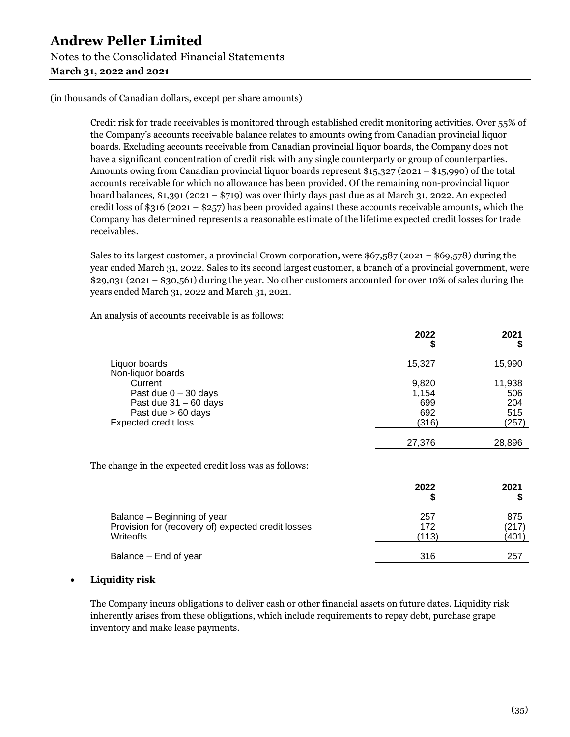Credit risk for trade receivables is monitored through established credit monitoring activities. Over 55% of the Company's accounts receivable balance relates to amounts owing from Canadian provincial liquor boards. Excluding accounts receivable from Canadian provincial liquor boards, the Company does not have a significant concentration of credit risk with any single counterparty or group of counterparties. Amounts owing from Canadian provincial liquor boards represent \$15,327 (2021 – \$15,990) of the total accounts receivable for which no allowance has been provided. Of the remaining non-provincial liquor board balances, \$1,391 (2021 – \$719) was over thirty days past due as at March 31, 2022. An expected credit loss of \$316 (2021 – \$257) has been provided against these accounts receivable amounts, which the Company has determined represents a reasonable estimate of the lifetime expected credit losses for trade receivables.

Sales to its largest customer, a provincial Crown corporation, were \$67,587 (2021 – \$69,578) during the year ended March 31, 2022. Sales to its second largest customer, a branch of a provincial government, were \$29,031 (2021 – \$30,561) during the year. No other customers accounted for over 10% of sales during the years ended March 31, 2022 and March 31, 2021.

An analysis of accounts receivable is as follows:

|                                                                                                                     | 2022<br>S                             | 2021<br>S                            |
|---------------------------------------------------------------------------------------------------------------------|---------------------------------------|--------------------------------------|
| Liquor boards<br>Non-liquor boards                                                                                  | 15,327                                | 15,990                               |
| Current<br>Past due $0 - 30$ days<br>Past due $31 - 60$ days<br>Past due $> 60$ days<br><b>Expected credit loss</b> | 9,820<br>1,154<br>699<br>692<br>(316) | 11,938<br>506<br>204<br>515<br>(257) |
|                                                                                                                     | 27,376                                | 28,896                               |
| The change in the expected credit loss was as follows:                                                              |                                       |                                      |
|                                                                                                                     | 2022<br>\$                            | 2021<br>S                            |
| Balance - Beginning of year<br>Provision for (recovery of) expected credit losses<br>Writeoffs                      | 257<br>172<br>(113)                   | 875<br>(217)<br>(401)                |
| Balance - End of year                                                                                               | 316                                   | 257                                  |

### **Liquidity risk**

The Company incurs obligations to deliver cash or other financial assets on future dates. Liquidity risk inherently arises from these obligations, which include requirements to repay debt, purchase grape inventory and make lease payments.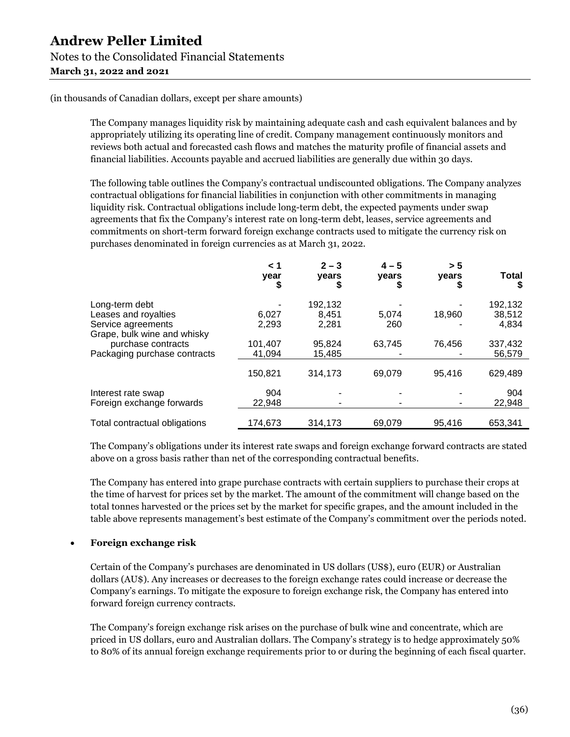The Company manages liquidity risk by maintaining adequate cash and cash equivalent balances and by appropriately utilizing its operating line of credit. Company management continuously monitors and reviews both actual and forecasted cash flows and matches the maturity profile of financial assets and financial liabilities. Accounts payable and accrued liabilities are generally due within 30 days.

The following table outlines the Company's contractual undiscounted obligations. The Company analyzes contractual obligations for financial liabilities in conjunction with other commitments in managing liquidity risk. Contractual obligations include long-term debt, the expected payments under swap agreements that fix the Company's interest rate on long-term debt, leases, service agreements and commitments on short-term forward foreign exchange contracts used to mitigate the currency risk on purchases denominated in foreign currencies as at March 31, 2022.

|                                                                                             | 1 ><br>year<br>\$ | $2 - 3$<br>years<br>\$    | $4 - 5$<br>years<br>\$ | > 5<br>years<br>S | <b>Total</b><br>S          |
|---------------------------------------------------------------------------------------------|-------------------|---------------------------|------------------------|-------------------|----------------------------|
| Long-term debt<br>Leases and royalties<br>Service agreements<br>Grape, bulk wine and whisky | 6,027<br>2,293    | 192,132<br>8.451<br>2,281 | 5,074<br>260           | 18,960            | 192,132<br>38,512<br>4,834 |
| purchase contracts<br>Packaging purchase contracts                                          | 101,407<br>41,094 | 95,824<br>15,485          | 63,745                 | 76,456            | 337,432<br>56,579          |
|                                                                                             | 150,821           | 314,173                   | 69,079                 | 95,416            | 629,489                    |
| Interest rate swap<br>Foreign exchange forwards                                             | 904<br>22,948     |                           |                        |                   | 904<br>22,948              |
| Total contractual obligations                                                               | 174,673           | 314.173                   | 69.079                 | 95.416            | 653,341                    |

The Company's obligations under its interest rate swaps and foreign exchange forward contracts are stated above on a gross basis rather than net of the corresponding contractual benefits.

The Company has entered into grape purchase contracts with certain suppliers to purchase their crops at the time of harvest for prices set by the market. The amount of the commitment will change based on the total tonnes harvested or the prices set by the market for specific grapes, and the amount included in the table above represents management's best estimate of the Company's commitment over the periods noted.

### **Foreign exchange risk**

Certain of the Company's purchases are denominated in US dollars (US\$), euro (EUR) or Australian dollars (AU\$). Any increases or decreases to the foreign exchange rates could increase or decrease the Company's earnings. To mitigate the exposure to foreign exchange risk, the Company has entered into forward foreign currency contracts.

The Company's foreign exchange risk arises on the purchase of bulk wine and concentrate, which are priced in US dollars, euro and Australian dollars. The Company's strategy is to hedge approximately 50% to 80% of its annual foreign exchange requirements prior to or during the beginning of each fiscal quarter.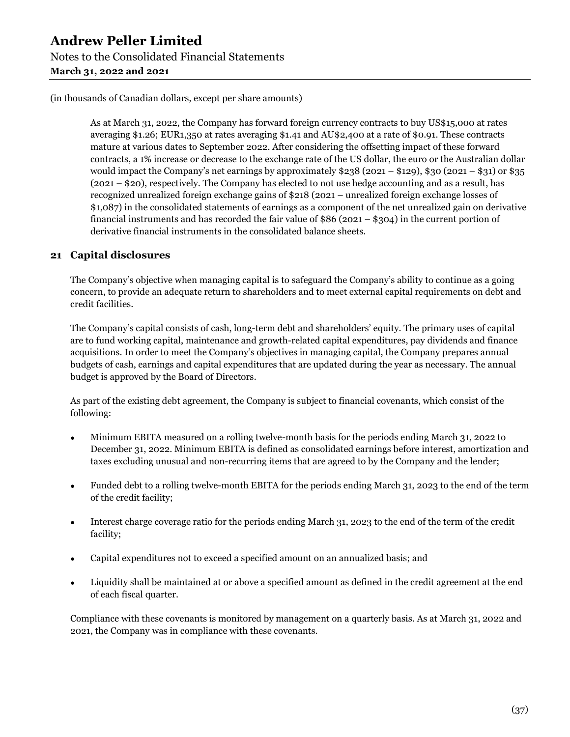As at March 31, 2022, the Company has forward foreign currency contracts to buy US\$15,000 at rates averaging \$1.26; EUR1,350 at rates averaging \$1.41 and AU\$2,400 at a rate of \$0.91. These contracts mature at various dates to September 2022. After considering the offsetting impact of these forward contracts, a 1% increase or decrease to the exchange rate of the US dollar, the euro or the Australian dollar would impact the Company's net earnings by approximately  $$238 (2021 - $129)$ ,  $$30 (2021 - $31)$  or  $$35$ (2021 – \$20), respectively. The Company has elected to not use hedge accounting and as a result, has recognized unrealized foreign exchange gains of \$218 (2021 – unrealized foreign exchange losses of \$1,087) in the consolidated statements of earnings as a component of the net unrealized gain on derivative financial instruments and has recorded the fair value of \$86 (2021 – \$304) in the current portion of derivative financial instruments in the consolidated balance sheets.

### **21 Capital disclosures**

The Company's objective when managing capital is to safeguard the Company's ability to continue as a going concern, to provide an adequate return to shareholders and to meet external capital requirements on debt and credit facilities.

The Company's capital consists of cash, long-term debt and shareholders' equity. The primary uses of capital are to fund working capital, maintenance and growth-related capital expenditures, pay dividends and finance acquisitions. In order to meet the Company's objectives in managing capital, the Company prepares annual budgets of cash, earnings and capital expenditures that are updated during the year as necessary. The annual budget is approved by the Board of Directors.

As part of the existing debt agreement, the Company is subject to financial covenants, which consist of the following:

- Minimum EBITA measured on a rolling twelve-month basis for the periods ending March 31, 2022 to December 31, 2022. Minimum EBITA is defined as consolidated earnings before interest, amortization and taxes excluding unusual and non-recurring items that are agreed to by the Company and the lender;
- Funded debt to a rolling twelve-month EBITA for the periods ending March 31, 2023 to the end of the term of the credit facility;
- Interest charge coverage ratio for the periods ending March 31, 2023 to the end of the term of the credit facility;
- Capital expenditures not to exceed a specified amount on an annualized basis; and
- Liquidity shall be maintained at or above a specified amount as defined in the credit agreement at the end of each fiscal quarter.

Compliance with these covenants is monitored by management on a quarterly basis. As at March 31, 2022 and 2021, the Company was in compliance with these covenants.